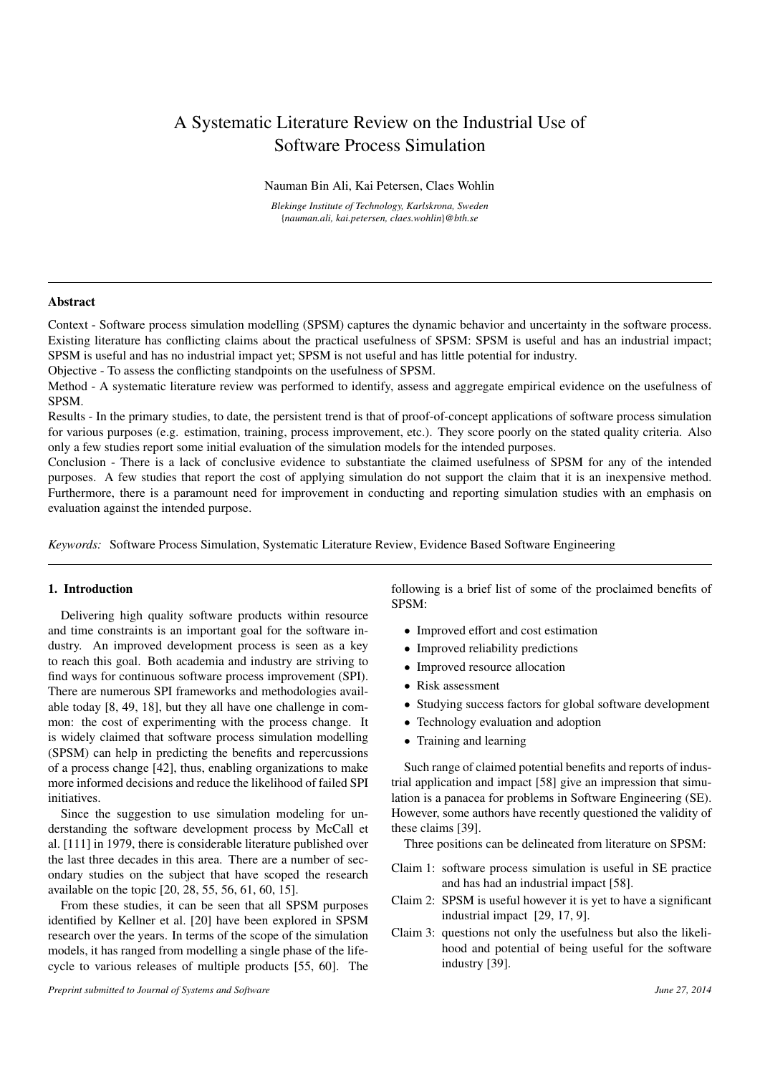# A Systematic Literature Review on the Industrial Use of Software Process Simulation

Nauman Bin Ali, Kai Petersen, Claes Wohlin

*Blekinge Institute of Technology, Karlskrona, Sweden* {*nauman.ali, kai.petersen, claes.wohlin*}*@bth.se*

# Abstract

Context - Software process simulation modelling (SPSM) captures the dynamic behavior and uncertainty in the software process. Existing literature has conflicting claims about the practical usefulness of SPSM: SPSM is useful and has an industrial impact; SPSM is useful and has no industrial impact yet; SPSM is not useful and has little potential for industry.

Objective - To assess the conflicting standpoints on the usefulness of SPSM.

Method - A systematic literature review was performed to identify, assess and aggregate empirical evidence on the usefulness of SPSM.

Results - In the primary studies, to date, the persistent trend is that of proof-of-concept applications of software process simulation for various purposes (e.g. estimation, training, process improvement, etc.). They score poorly on the stated quality criteria. Also only a few studies report some initial evaluation of the simulation models for the intended purposes.

Conclusion - There is a lack of conclusive evidence to substantiate the claimed usefulness of SPSM for any of the intended purposes. A few studies that report the cost of applying simulation do not support the claim that it is an inexpensive method. Furthermore, there is a paramount need for improvement in conducting and reporting simulation studies with an emphasis on evaluation against the intended purpose.

*Keywords:* Software Process Simulation, Systematic Literature Review, Evidence Based Software Engineering

# 1. Introduction

Delivering high quality software products within resource and time constraints is an important goal for the software industry. An improved development process is seen as a key to reach this goal. Both academia and industry are striving to find ways for continuous software process improvement (SPI). There are numerous SPI frameworks and methodologies available today [8, 49, 18], but they all have one challenge in common: the cost of experimenting with the process change. It is widely claimed that software process simulation modelling (SPSM) can help in predicting the benefits and repercussions of a process change [42], thus, enabling organizations to make more informed decisions and reduce the likelihood of failed SPI initiatives.

Since the suggestion to use simulation modeling for understanding the software development process by McCall et al. [111] in 1979, there is considerable literature published over the last three decades in this area. There are a number of secondary studies on the subject that have scoped the research available on the topic [20, 28, 55, 56, 61, 60, 15].

From these studies, it can be seen that all SPSM purposes identified by Kellner et al. [20] have been explored in SPSM research over the years. In terms of the scope of the simulation models, it has ranged from modelling a single phase of the lifecycle to various releases of multiple products [55, 60]. The

following is a brief list of some of the proclaimed benefits of SPSM:

- Improved effort and cost estimation
- Improved reliability predictions
- Improved resource allocation
- Risk assessment
- Studying success factors for global software development
- Technology evaluation and adoption
- Training and learning

Such range of claimed potential benefits and reports of industrial application and impact [58] give an impression that simulation is a panacea for problems in Software Engineering (SE). However, some authors have recently questioned the validity of these claims [39].

Three positions can be delineated from literature on SPSM:

- Claim 1: software process simulation is useful in SE practice and has had an industrial impact [58].
- Claim 2: SPSM is useful however it is yet to have a significant industrial impact [29, 17, 9].
- Claim 3: questions not only the usefulness but also the likelihood and potential of being useful for the software industry [39].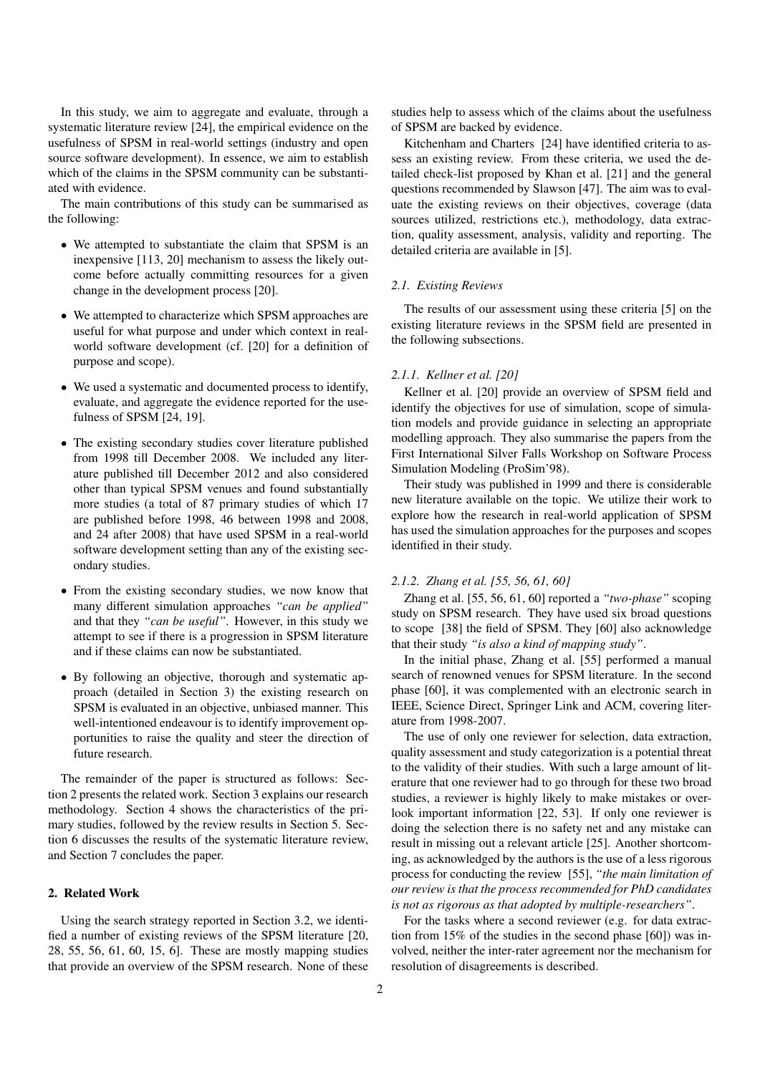In this study, we aim to aggregate and evaluate, through a systematic literature review [24], the empirical evidence on the usefulness of SPSM in real-world settings (industry and open source software development). In essence, we aim to establish which of the claims in the SPSM community can be substantiated with evidence.

The main contributions of this study can be summarised as the following:

- We attempted to substantiate the claim that SPSM is an inexpensive [113, 20] mechanism to assess the likely outcome before actually committing resources for a given change in the development process [20].
- We attempted to characterize which SPSM approaches are useful for what purpose and under which context in realworld software development (cf. [20] for a definition of purpose and scope).
- We used a systematic and documented process to identify, evaluate, and aggregate the evidence reported for the usefulness of SPSM [24, 19].
- The existing secondary studies cover literature published from 1998 till December 2008. We included any literature published till December 2012 and also considered other than typical SPSM venues and found substantially more studies (a total of 87 primary studies of which 17 are published before 1998, 46 between 1998 and 2008, and 24 after 2008) that have used SPSM in a real-world software development setting than any of the existing secondary studies.
- From the existing secondary studies, we now know that many different simulation approaches *"can be applied"* and that they *"can be useful"*. However, in this study we attempt to see if there is a progression in SPSM literature and if these claims can now be substantiated.
- By following an objective, thorough and systematic approach (detailed in Section 3) the existing research on SPSM is evaluated in an objective, unbiased manner. This well-intentioned endeavour is to identify improvement opportunities to raise the quality and steer the direction of future research.

The remainder of the paper is structured as follows: Section 2 presents the related work. Section 3 explains our research methodology. Section 4 shows the characteristics of the primary studies, followed by the review results in Section 5. Section 6 discusses the results of the systematic literature review, and Section 7 concludes the paper.

### 2. Related Work

Using the search strategy reported in Section 3.2, we identified a number of existing reviews of the SPSM literature [20, 28, 55, 56, 61, 60, 15, 6]. These are mostly mapping studies that provide an overview of the SPSM research. None of these

studies help to assess which of the claims about the usefulness of SPSM are backed by evidence.

Kitchenham and Charters [24] have identified criteria to assess an existing review. From these criteria, we used the detailed check-list proposed by Khan et al. [21] and the general questions recommended by Slawson [47]. The aim was to evaluate the existing reviews on their objectives, coverage (data sources utilized, restrictions etc.), methodology, data extraction, quality assessment, analysis, validity and reporting. The detailed criteria are available in [5].

#### *2.1. Existing Reviews*

The results of our assessment using these criteria [5] on the existing literature reviews in the SPSM field are presented in the following subsections.

### *2.1.1. Kellner et al. [20]*

Kellner et al. [20] provide an overview of SPSM field and identify the objectives for use of simulation, scope of simulation models and provide guidance in selecting an appropriate modelling approach. They also summarise the papers from the First International Silver Falls Workshop on Software Process Simulation Modeling (ProSim'98).

Their study was published in 1999 and there is considerable new literature available on the topic. We utilize their work to explore how the research in real-world application of SPSM has used the simulation approaches for the purposes and scopes identified in their study.

### *2.1.2. Zhang et al. [55, 56, 61, 60]*

Zhang et al. [55, 56, 61, 60] reported a *"two-phase"* scoping study on SPSM research. They have used six broad questions to scope [38] the field of SPSM. They [60] also acknowledge that their study *"is also a kind of mapping study"*.

In the initial phase, Zhang et al. [55] performed a manual search of renowned venues for SPSM literature. In the second phase [60], it was complemented with an electronic search in IEEE, Science Direct, Springer Link and ACM, covering literature from 1998-2007.

The use of only one reviewer for selection, data extraction, quality assessment and study categorization is a potential threat to the validity of their studies. With such a large amount of literature that one reviewer had to go through for these two broad studies, a reviewer is highly likely to make mistakes or overlook important information [22, 53]. If only one reviewer is doing the selection there is no safety net and any mistake can result in missing out a relevant article [25]. Another shortcoming, as acknowledged by the authors is the use of a less rigorous process for conducting the review [55], *"the main limitation of our review is that the process recommended for PhD candidates is not as rigorous as that adopted by multiple-researchers"*.

For the tasks where a second reviewer (e.g. for data extraction from 15% of the studies in the second phase [60]) was involved, neither the inter-rater agreement nor the mechanism for resolution of disagreements is described.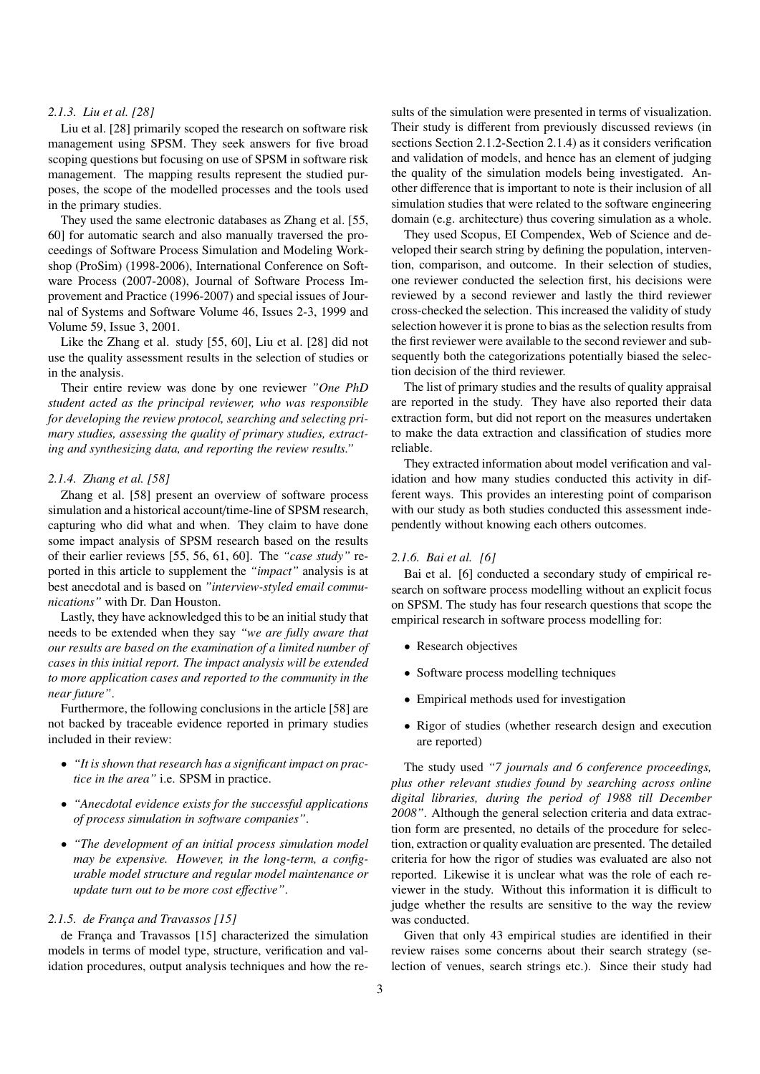#### *2.1.3. Liu et al. [28]*

Liu et al. [28] primarily scoped the research on software risk management using SPSM. They seek answers for five broad scoping questions but focusing on use of SPSM in software risk management. The mapping results represent the studied purposes, the scope of the modelled processes and the tools used in the primary studies.

They used the same electronic databases as Zhang et al. [55, 60] for automatic search and also manually traversed the proceedings of Software Process Simulation and Modeling Workshop (ProSim) (1998-2006), International Conference on Software Process (2007-2008), Journal of Software Process Improvement and Practice (1996-2007) and special issues of Journal of Systems and Software Volume 46, Issues 2-3, 1999 and Volume 59, Issue 3, 2001.

Like the Zhang et al. study [55, 60], Liu et al. [28] did not use the quality assessment results in the selection of studies or in the analysis.

Their entire review was done by one reviewer *"One PhD student acted as the principal reviewer, who was responsible for developing the review protocol, searching and selecting primary studies, assessing the quality of primary studies, extracting and synthesizing data, and reporting the review results."*

### *2.1.4. Zhang et al. [58]*

Zhang et al. [58] present an overview of software process simulation and a historical account/time-line of SPSM research, capturing who did what and when. They claim to have done some impact analysis of SPSM research based on the results of their earlier reviews [55, 56, 61, 60]. The *"case study"* reported in this article to supplement the *"impact"* analysis is at best anecdotal and is based on *"interview-styled email communications"* with Dr. Dan Houston.

Lastly, they have acknowledged this to be an initial study that needs to be extended when they say *"we are fully aware that our results are based on the examination of a limited number of cases in this initial report. The impact analysis will be extended to more application cases and reported to the community in the near future"*.

Furthermore, the following conclusions in the article [58] are not backed by traceable evidence reported in primary studies included in their review:

- *"It is shown that research has a significant impact on practice in the area"* i.e. SPSM in practice.
- *"Anecdotal evidence exists for the successful applications of process simulation in software companies"*.
- *"The development of an initial process simulation model may be expensive. However, in the long-term, a configurable model structure and regular model maintenance or update turn out to be more cost e*ff*ective"*.

#### *2.1.5. de Fran¸ca and Travassos [15]*

de França and Travassos [15] characterized the simulation models in terms of model type, structure, verification and validation procedures, output analysis techniques and how the re-

sults of the simulation were presented in terms of visualization. Their study is different from previously discussed reviews (in sections Section 2.1.2-Section 2.1.4) as it considers verification and validation of models, and hence has an element of judging the quality of the simulation models being investigated. Another difference that is important to note is their inclusion of all simulation studies that were related to the software engineering domain (e.g. architecture) thus covering simulation as a whole.

They used Scopus, EI Compendex, Web of Science and developed their search string by defining the population, intervention, comparison, and outcome. In their selection of studies, one reviewer conducted the selection first, his decisions were reviewed by a second reviewer and lastly the third reviewer cross-checked the selection. This increased the validity of study selection however it is prone to bias as the selection results from the first reviewer were available to the second reviewer and subsequently both the categorizations potentially biased the selection decision of the third reviewer.

The list of primary studies and the results of quality appraisal are reported in the study. They have also reported their data extraction form, but did not report on the measures undertaken to make the data extraction and classification of studies more reliable.

They extracted information about model verification and validation and how many studies conducted this activity in different ways. This provides an interesting point of comparison with our study as both studies conducted this assessment independently without knowing each others outcomes.

# *2.1.6. Bai et al. [6]*

Bai et al. [6] conducted a secondary study of empirical research on software process modelling without an explicit focus on SPSM. The study has four research questions that scope the empirical research in software process modelling for:

- Research objectives
- Software process modelling techniques
- Empirical methods used for investigation
- Rigor of studies (whether research design and execution are reported)

The study used *"7 journals and 6 conference proceedings, plus other relevant studies found by searching across online digital libraries, during the period of 1988 till December 2008"*. Although the general selection criteria and data extraction form are presented, no details of the procedure for selection, extraction or quality evaluation are presented. The detailed criteria for how the rigor of studies was evaluated are also not reported. Likewise it is unclear what was the role of each reviewer in the study. Without this information it is difficult to judge whether the results are sensitive to the way the review was conducted.

Given that only 43 empirical studies are identified in their review raises some concerns about their search strategy (selection of venues, search strings etc.). Since their study had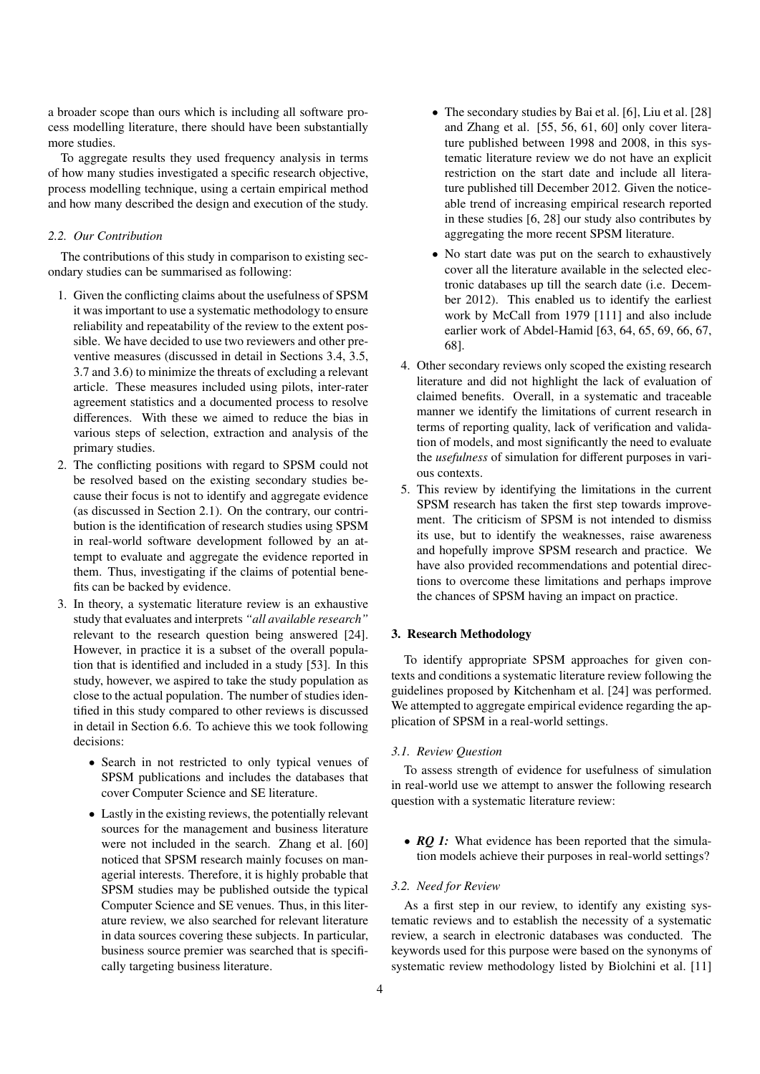a broader scope than ours which is including all software process modelling literature, there should have been substantially more studies.

To aggregate results they used frequency analysis in terms of how many studies investigated a specific research objective, process modelling technique, using a certain empirical method and how many described the design and execution of the study.

### *2.2. Our Contribution*

The contributions of this study in comparison to existing secondary studies can be summarised as following:

- 1. Given the conflicting claims about the usefulness of SPSM it was important to use a systematic methodology to ensure reliability and repeatability of the review to the extent possible. We have decided to use two reviewers and other preventive measures (discussed in detail in Sections 3.4, 3.5, 3.7 and 3.6) to minimize the threats of excluding a relevant article. These measures included using pilots, inter-rater agreement statistics and a documented process to resolve differences. With these we aimed to reduce the bias in various steps of selection, extraction and analysis of the primary studies.
- 2. The conflicting positions with regard to SPSM could not be resolved based on the existing secondary studies because their focus is not to identify and aggregate evidence (as discussed in Section 2.1). On the contrary, our contribution is the identification of research studies using SPSM in real-world software development followed by an attempt to evaluate and aggregate the evidence reported in them. Thus, investigating if the claims of potential benefits can be backed by evidence.
- 3. In theory, a systematic literature review is an exhaustive study that evaluates and interprets *"all available research"* relevant to the research question being answered [24]. However, in practice it is a subset of the overall population that is identified and included in a study [53]. In this study, however, we aspired to take the study population as close to the actual population. The number of studies identified in this study compared to other reviews is discussed in detail in Section 6.6. To achieve this we took following decisions:
	- Search in not restricted to only typical venues of SPSM publications and includes the databases that cover Computer Science and SE literature.
	- Lastly in the existing reviews, the potentially relevant sources for the management and business literature were not included in the search. Zhang et al. [60] noticed that SPSM research mainly focuses on managerial interests. Therefore, it is highly probable that SPSM studies may be published outside the typical Computer Science and SE venues. Thus, in this literature review, we also searched for relevant literature in data sources covering these subjects. In particular, business source premier was searched that is specifically targeting business literature.
- The secondary studies by Bai et al. [6], Liu et al. [28] and Zhang et al. [55, 56, 61, 60] only cover literature published between 1998 and 2008, in this systematic literature review we do not have an explicit restriction on the start date and include all literature published till December 2012. Given the noticeable trend of increasing empirical research reported in these studies [6, 28] our study also contributes by aggregating the more recent SPSM literature.
- No start date was put on the search to exhaustively cover all the literature available in the selected electronic databases up till the search date (i.e. December 2012). This enabled us to identify the earliest work by McCall from 1979 [111] and also include earlier work of Abdel-Hamid [63, 64, 65, 69, 66, 67, 68].
- 4. Other secondary reviews only scoped the existing research literature and did not highlight the lack of evaluation of claimed benefits. Overall, in a systematic and traceable manner we identify the limitations of current research in terms of reporting quality, lack of verification and validation of models, and most significantly the need to evaluate the *usefulness* of simulation for different purposes in various contexts.
- 5. This review by identifying the limitations in the current SPSM research has taken the first step towards improvement. The criticism of SPSM is not intended to dismiss its use, but to identify the weaknesses, raise awareness and hopefully improve SPSM research and practice. We have also provided recommendations and potential directions to overcome these limitations and perhaps improve the chances of SPSM having an impact on practice.

### 3. Research Methodology

To identify appropriate SPSM approaches for given contexts and conditions a systematic literature review following the guidelines proposed by Kitchenham et al. [24] was performed. We attempted to aggregate empirical evidence regarding the application of SPSM in a real-world settings.

### *3.1. Review Question*

To assess strength of evidence for usefulness of simulation in real-world use we attempt to answer the following research question with a systematic literature review:

• *RQ 1*: What evidence has been reported that the simulation models achieve their purposes in real-world settings?

# *3.2. Need for Review*

As a first step in our review, to identify any existing systematic reviews and to establish the necessity of a systematic review, a search in electronic databases was conducted. The keywords used for this purpose were based on the synonyms of systematic review methodology listed by Biolchini et al. [11]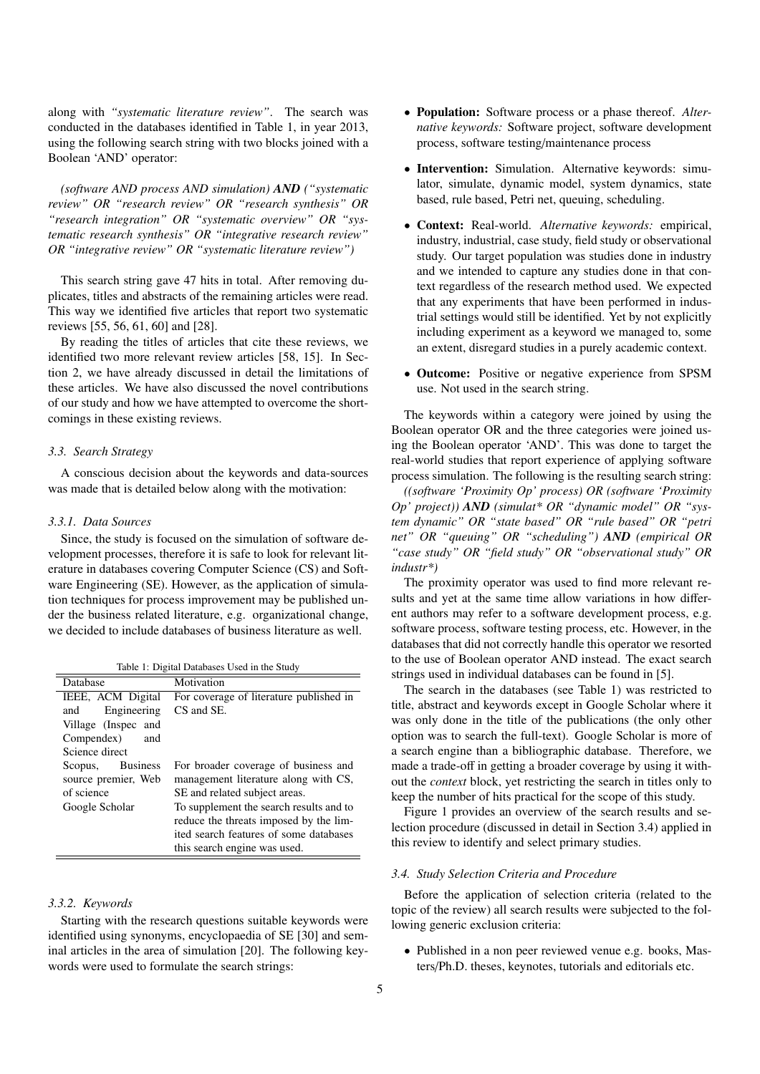along with *"systematic literature review"*. The search was conducted in the databases identified in Table 1, in year 2013, using the following search string with two blocks joined with a Boolean 'AND' operator:

*(software AND process AND simulation) AND ("systematic review" OR "research review" OR "research synthesis" OR "research integration" OR "systematic overview" OR "systematic research synthesis" OR "integrative research review" OR "integrative review" OR "systematic literature review")*

This search string gave 47 hits in total. After removing duplicates, titles and abstracts of the remaining articles were read. This way we identified five articles that report two systematic reviews [55, 56, 61, 60] and [28].

By reading the titles of articles that cite these reviews, we identified two more relevant review articles [58, 15]. In Section 2, we have already discussed in detail the limitations of these articles. We have also discussed the novel contributions of our study and how we have attempted to overcome the shortcomings in these existing reviews.

### *3.3. Search Strategy*

A conscious decision about the keywords and data-sources was made that is detailed below along with the motivation:

#### *3.3.1. Data Sources*

Since, the study is focused on the simulation of software development processes, therefore it is safe to look for relevant literature in databases covering Computer Science (CS) and Software Engineering (SE). However, as the application of simulation techniques for process improvement may be published under the business related literature, e.g. organizational change, we decided to include databases of business literature as well.

Table 1: Digital Databases Used in the Study

| Database                   | Motivation                              |
|----------------------------|-----------------------------------------|
| IEEE, ACM Digital          | For coverage of literature published in |
| Engineering<br>and         | CS and SE.                              |
| Village (Inspec and        |                                         |
| Compendex)<br>and          |                                         |
| Science direct             |                                         |
| <b>Business</b><br>Scopus, | For broader coverage of business and    |
| source premier, Web        | management literature along with CS,    |
| of science                 | SE and related subject areas.           |
| Google Scholar             | To supplement the search results and to |
|                            | reduce the threats imposed by the lim-  |
|                            | ited search features of some databases  |
|                            | this search engine was used.            |

### *3.3.2. Keywords*

Starting with the research questions suitable keywords were identified using synonyms, encyclopaedia of SE [30] and seminal articles in the area of simulation [20]. The following keywords were used to formulate the search strings:

- Population: Software process or a phase thereof. *Alternative keywords:* Software project, software development process, software testing/maintenance process
- Intervention: Simulation. Alternative keywords: simulator, simulate, dynamic model, system dynamics, state based, rule based, Petri net, queuing, scheduling.
- Context: Real-world. *Alternative keywords:* empirical, industry, industrial, case study, field study or observational study. Our target population was studies done in industry and we intended to capture any studies done in that context regardless of the research method used. We expected that any experiments that have been performed in industrial settings would still be identified. Yet by not explicitly including experiment as a keyword we managed to, some an extent, disregard studies in a purely academic context.
- Outcome: Positive or negative experience from SPSM use. Not used in the search string.

The keywords within a category were joined by using the Boolean operator OR and the three categories were joined using the Boolean operator 'AND'. This was done to target the real-world studies that report experience of applying software process simulation. The following is the resulting search string:

*((software 'Proximity Op' process) OR (software 'Proximity Op' project)) AND (simulat\* OR "dynamic model" OR "system dynamic" OR "state based" OR "rule based" OR "petri net" OR "queuing" OR "scheduling") AND (empirical OR "case study" OR "field study" OR "observational study" OR industr\*)*

The proximity operator was used to find more relevant results and yet at the same time allow variations in how different authors may refer to a software development process, e.g. software process, software testing process, etc. However, in the databases that did not correctly handle this operator we resorted to the use of Boolean operator AND instead. The exact search strings used in individual databases can be found in [5].

The search in the databases (see Table 1) was restricted to title, abstract and keywords except in Google Scholar where it was only done in the title of the publications (the only other option was to search the full-text). Google Scholar is more of a search engine than a bibliographic database. Therefore, we made a trade-off in getting a broader coverage by using it without the *context* block, yet restricting the search in titles only to keep the number of hits practical for the scope of this study.

Figure 1 provides an overview of the search results and selection procedure (discussed in detail in Section 3.4) applied in this review to identify and select primary studies.

### *3.4. Study Selection Criteria and Procedure*

Before the application of selection criteria (related to the topic of the review) all search results were subjected to the following generic exclusion criteria:

• Published in a non peer reviewed venue e.g. books, Masters/Ph.D. theses, keynotes, tutorials and editorials etc.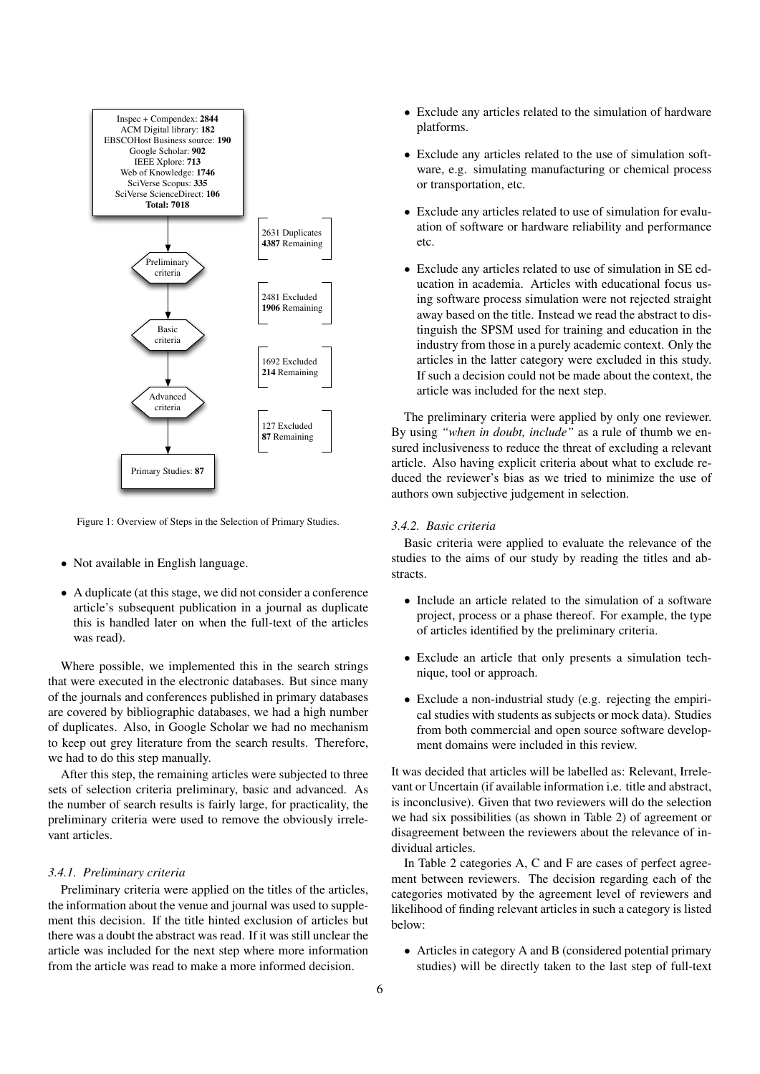

Figure 1: Overview of Steps in the Selection of Primary Studies.

- Not available in English language.
- A duplicate (at this stage, we did not consider a conference article's subsequent publication in a journal as duplicate this is handled later on when the full-text of the articles was read).

Where possible, we implemented this in the search strings that were executed in the electronic databases. But since many of the journals and conferences published in primary databases are covered by bibliographic databases, we had a high number of duplicates. Also, in Google Scholar we had no mechanism to keep out grey literature from the search results. Therefore, we had to do this step manually.

After this step, the remaining articles were subjected to three sets of selection criteria preliminary, basic and advanced. As the number of search results is fairly large, for practicality, the preliminary criteria were used to remove the obviously irrelevant articles.

#### *3.4.1. Preliminary criteria*

Preliminary criteria were applied on the titles of the articles, the information about the venue and journal was used to supplement this decision. If the title hinted exclusion of articles but there was a doubt the abstract was read. If it was still unclear the article was included for the next step where more information from the article was read to make a more informed decision.

- Exclude any articles related to the simulation of hardware platforms.
- Exclude any articles related to the use of simulation software, e.g. simulating manufacturing or chemical process or transportation, etc.
- Exclude any articles related to use of simulation for evaluation of software or hardware reliability and performance etc.
- Exclude any articles related to use of simulation in SE education in academia. Articles with educational focus using software process simulation were not rejected straight away based on the title. Instead we read the abstract to distinguish the SPSM used for training and education in the industry from those in a purely academic context. Only the articles in the latter category were excluded in this study. If such a decision could not be made about the context, the article was included for the next step.

The preliminary criteria were applied by only one reviewer. By using *"when in doubt, include"* as a rule of thumb we ensured inclusiveness to reduce the threat of excluding a relevant article. Also having explicit criteria about what to exclude reduced the reviewer's bias as we tried to minimize the use of authors own subjective judgement in selection.

## *3.4.2. Basic criteria*

Basic criteria were applied to evaluate the relevance of the studies to the aims of our study by reading the titles and abstracts.

- Include an article related to the simulation of a software project, process or a phase thereof. For example, the type of articles identified by the preliminary criteria.
- Exclude an article that only presents a simulation technique, tool or approach.
- Exclude a non-industrial study (e.g. rejecting the empirical studies with students as subjects or mock data). Studies from both commercial and open source software development domains were included in this review.

It was decided that articles will be labelled as: Relevant, Irrelevant or Uncertain (if available information i.e. title and abstract, is inconclusive). Given that two reviewers will do the selection we had six possibilities (as shown in Table 2) of agreement or disagreement between the reviewers about the relevance of individual articles.

In Table 2 categories A, C and F are cases of perfect agreement between reviewers. The decision regarding each of the categories motivated by the agreement level of reviewers and likelihood of finding relevant articles in such a category is listed below:

• Articles in category A and B (considered potential primary studies) will be directly taken to the last step of full-text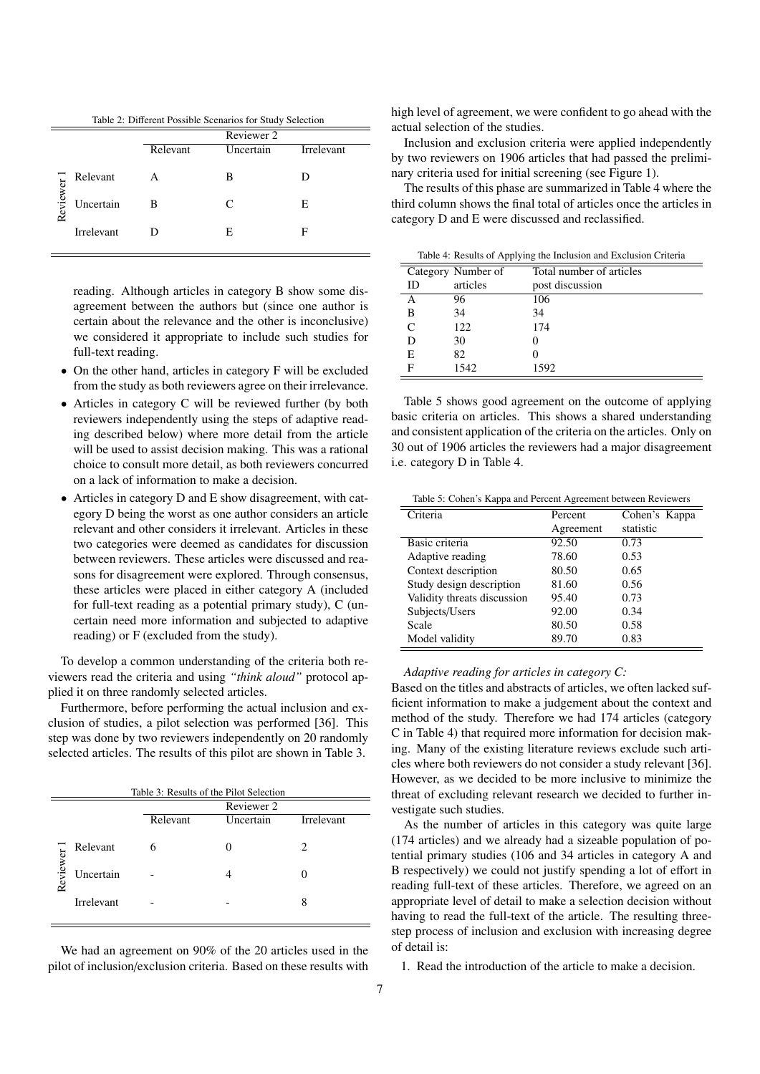Table 2: Different Possible Scenarios for Study Selection

|          |                   |          | Reviewer 2 |            |
|----------|-------------------|----------|------------|------------|
|          |                   | Relevant | Uncertain  | Irrelevant |
|          | Relevant          | А        | в          |            |
| Reviewer | Uncertain         | В        | C          | E          |
|          | <b>Irrelevant</b> |          | Е          | F          |
|          |                   |          |            |            |

reading. Although articles in category B show some disagreement between the authors but (since one author is certain about the relevance and the other is inconclusive) we considered it appropriate to include such studies for full-text reading.

- On the other hand, articles in category F will be excluded from the study as both reviewers agree on their irrelevance.
- Articles in category C will be reviewed further (by both reviewers independently using the steps of adaptive reading described below) where more detail from the article will be used to assist decision making. This was a rational choice to consult more detail, as both reviewers concurred on a lack of information to make a decision.
- Articles in category D and E show disagreement, with category D being the worst as one author considers an article relevant and other considers it irrelevant. Articles in these two categories were deemed as candidates for discussion between reviewers. These articles were discussed and reasons for disagreement were explored. Through consensus, these articles were placed in either category A (included for full-text reading as a potential primary study), C (uncertain need more information and subjected to adaptive reading) or F (excluded from the study).

To develop a common understanding of the criteria both reviewers read the criteria and using *"think aloud"* protocol applied it on three randomly selected articles.

Furthermore, before performing the actual inclusion and exclusion of studies, a pilot selection was performed [36]. This step was done by two reviewers independently on 20 randomly selected articles. The results of this pilot are shown in Table 3.

|          |            |          | Table 3: Results of the Pilot Selection |            |
|----------|------------|----------|-----------------------------------------|------------|
|          |            |          | Reviewer 2                              |            |
|          |            | Relevant | Uncertain                               | Irrelevant |
|          | Relevant   |          |                                         | 2          |
| Reviewer | Uncertain  |          |                                         |            |
|          | Irrelevant |          |                                         | 8          |

We had an agreement on 90% of the 20 articles used in the pilot of inclusion/exclusion criteria. Based on these results with

high level of agreement, we were confident to go ahead with the actual selection of the studies.

Inclusion and exclusion criteria were applied independently by two reviewers on 1906 articles that had passed the preliminary criteria used for initial screening (see Figure 1).

The results of this phase are summarized in Table 4 where the third column shows the final total of articles once the articles in category D and E were discussed and reclassified.

Table 4: Results of Applying the Inclusion and Exclusion Criteria Category Number of ID articles Total number of articles post discussion A 96 106 B 34 34 C 122 174 D 30 0 E 82 0 F 1542 1592

Table 5 shows good agreement on the outcome of applying basic criteria on articles. This shows a shared understanding and consistent application of the criteria on the articles. Only on 30 out of 1906 articles the reviewers had a major disagreement i.e. category D in Table 4.

Table 5: Cohen's Kappa and Percent Agreement between Reviewers

| Criteria                    | Percent   | Cohen's Kappa |
|-----------------------------|-----------|---------------|
|                             | Agreement | statistic     |
| Basic criteria              | 92.50     | 0.73          |
| Adaptive reading            | 78.60     | 0.53          |
| Context description         | 80.50     | 0.65          |
| Study design description    | 81.60     | 0.56          |
| Validity threats discussion | 95.40     | 0.73          |
| Subjects/Users              | 92.00     | 0.34          |
| Scale                       | 80.50     | 0.58          |
| Model validity              | 89.70     | 0.83          |

#### *Adaptive reading for articles in category C:*

Based on the titles and abstracts of articles, we often lacked sufficient information to make a judgement about the context and method of the study. Therefore we had 174 articles (category C in Table 4) that required more information for decision making. Many of the existing literature reviews exclude such articles where both reviewers do not consider a study relevant [36]. However, as we decided to be more inclusive to minimize the threat of excluding relevant research we decided to further investigate such studies.

As the number of articles in this category was quite large (174 articles) and we already had a sizeable population of potential primary studies (106 and 34 articles in category A and B respectively) we could not justify spending a lot of effort in reading full-text of these articles. Therefore, we agreed on an appropriate level of detail to make a selection decision without having to read the full-text of the article. The resulting threestep process of inclusion and exclusion with increasing degree of detail is:

1. Read the introduction of the article to make a decision.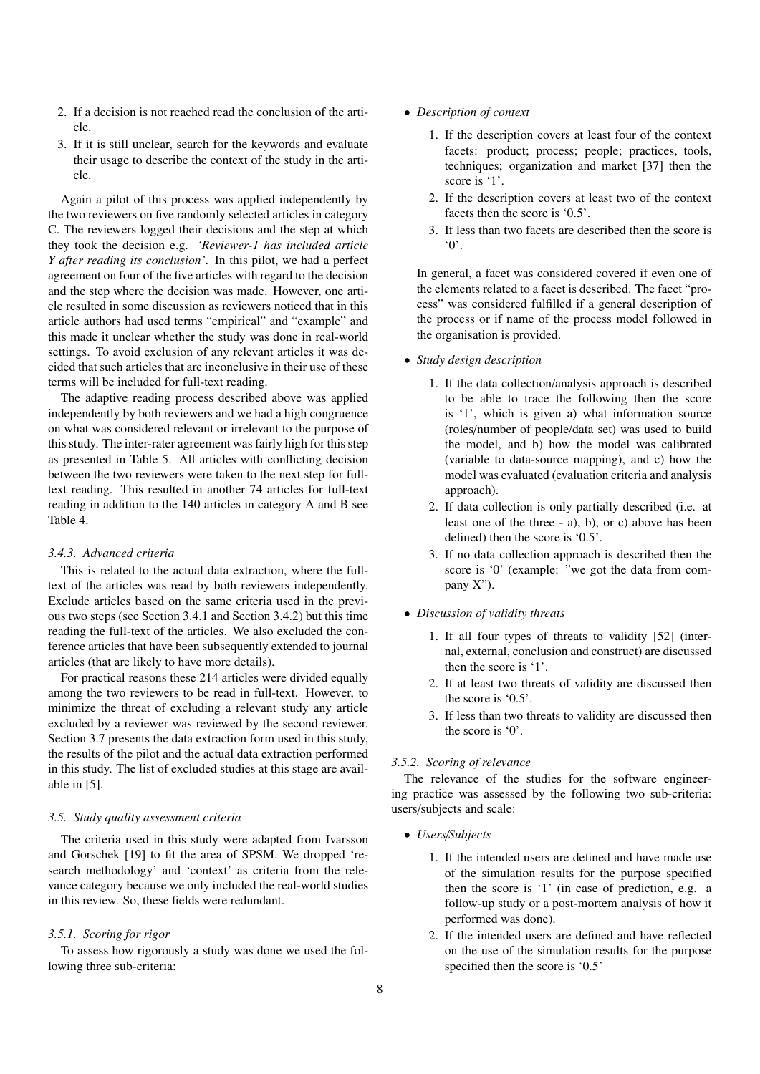- 2. If a decision is not reached read the conclusion of the article.
- 3. If it is still unclear, search for the keywords and evaluate their usage to describe the context of the study in the article.

Again a pilot of this process was applied independently by the two reviewers on five randomly selected articles in category C. The reviewers logged their decisions and the step at which they took the decision e.g. *'Reviewer-1 has included article Y after reading its conclusion'*. In this pilot, we had a perfect agreement on four of the five articles with regard to the decision and the step where the decision was made. However, one article resulted in some discussion as reviewers noticed that in this article authors had used terms "empirical" and "example" and this made it unclear whether the study was done in real-world settings. To avoid exclusion of any relevant articles it was decided that such articles that are inconclusive in their use of these terms will be included for full-text reading.

The adaptive reading process described above was applied independently by both reviewers and we had a high congruence on what was considered relevant or irrelevant to the purpose of this study. The inter-rater agreement was fairly high for this step as presented in Table 5. All articles with conflicting decision between the two reviewers were taken to the next step for fulltext reading. This resulted in another 74 articles for full-text reading in addition to the 140 articles in category A and B see Table 4.

#### *3.4.3. Advanced criteria*

This is related to the actual data extraction, where the fulltext of the articles was read by both reviewers independently. Exclude articles based on the same criteria used in the previous two steps (see Section 3.4.1 and Section 3.4.2) but this time reading the full-text of the articles. We also excluded the conference articles that have been subsequently extended to journal articles (that are likely to have more details).

For practical reasons these 214 articles were divided equally among the two reviewers to be read in full-text. However, to minimize the threat of excluding a relevant study any article excluded by a reviewer was reviewed by the second reviewer. Section 3.7 presents the data extraction form used in this study, the results of the pilot and the actual data extraction performed in this study. The list of excluded studies at this stage are available in [5].

#### *3.5. Study quality assessment criteria*

The criteria used in this study were adapted from Ivarsson and Gorschek [19] to fit the area of SPSM. We dropped 'research methodology' and 'context' as criteria from the relevance category because we only included the real-world studies in this review. So, these fields were redundant.

# *3.5.1. Scoring for rigor*

To assess how rigorously a study was done we used the following three sub-criteria:

- *Description of context*
	- 1. If the description covers at least four of the context facets: product; process; people; practices, tools, techniques; organization and market [37] then the score is '1'.
	- 2. If the description covers at least two of the context facets then the score is '0.5'.
	- 3. If less than two facets are described then the score is  $^{\circ}$   $^{\circ}$

In general, a facet was considered covered if even one of the elements related to a facet is described. The facet "process" was considered fulfilled if a general description of the process or if name of the process model followed in the organisation is provided.

- *Study design description*
	- 1. If the data collection/analysis approach is described to be able to trace the following then the score is '1', which is given a) what information source (roles/number of people/data set) was used to build the model, and b) how the model was calibrated (variable to data-source mapping), and c) how the model was evaluated (evaluation criteria and analysis approach).
	- 2. If data collection is only partially described (i.e. at least one of the three - a), b), or c) above has been defined) then the score is '0.5'.
	- 3. If no data collection approach is described then the score is '0' (example: "we got the data from company X").
- *Discussion of validity threats*
	- 1. If all four types of threats to validity [52] (internal, external, conclusion and construct) are discussed then the score is '1'.
	- 2. If at least two threats of validity are discussed then the score is '0.5'.
	- 3. If less than two threats to validity are discussed then the score is '0'.

# *3.5.2. Scoring of relevance*

The relevance of the studies for the software engineering practice was assessed by the following two sub-criteria: users/subjects and scale:

- *Users*/*Subjects*
	- 1. If the intended users are defined and have made use of the simulation results for the purpose specified then the score is '1' (in case of prediction, e.g. a follow-up study or a post-mortem analysis of how it performed was done).
	- 2. If the intended users are defined and have reflected on the use of the simulation results for the purpose specified then the score is '0.5'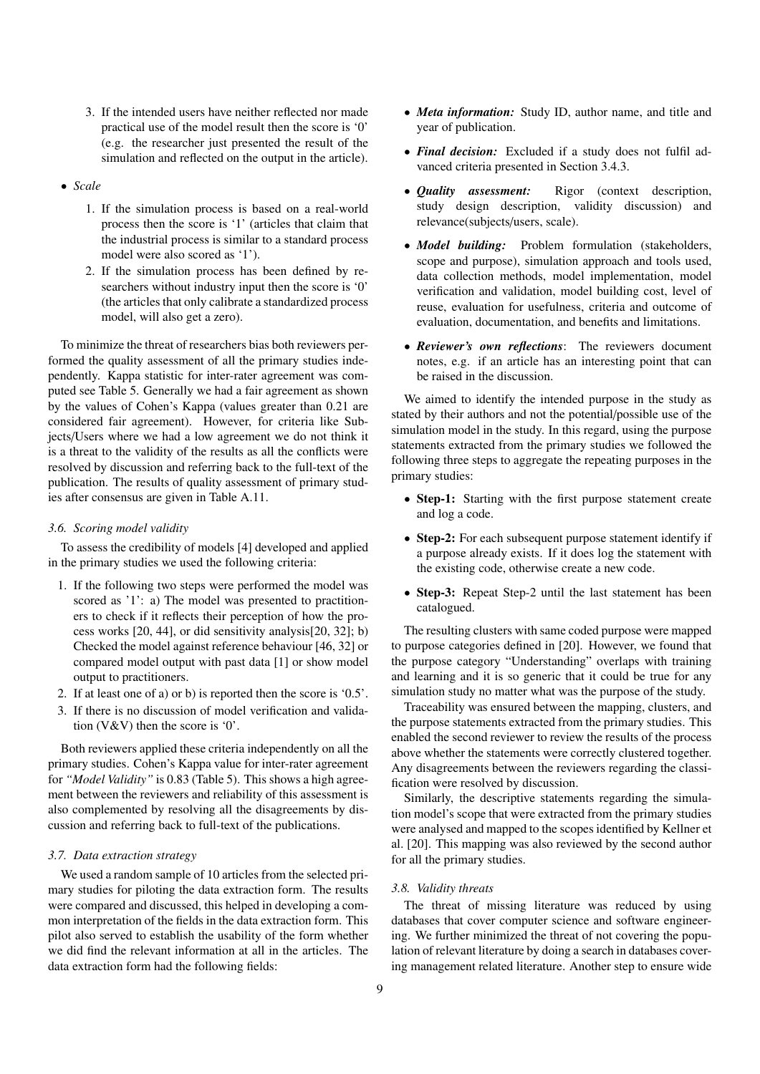- 3. If the intended users have neither reflected nor made practical use of the model result then the score is '0' (e.g. the researcher just presented the result of the simulation and reflected on the output in the article).
- *Scale*
	- 1. If the simulation process is based on a real-world process then the score is '1' (articles that claim that the industrial process is similar to a standard process model were also scored as '1').
	- 2. If the simulation process has been defined by researchers without industry input then the score is '0' (the articles that only calibrate a standardized process model, will also get a zero).

To minimize the threat of researchers bias both reviewers performed the quality assessment of all the primary studies independently. Kappa statistic for inter-rater agreement was computed see Table 5. Generally we had a fair agreement as shown by the values of Cohen's Kappa (values greater than 0.21 are considered fair agreement). However, for criteria like Subjects/Users where we had a low agreement we do not think it is a threat to the validity of the results as all the conflicts were resolved by discussion and referring back to the full-text of the publication. The results of quality assessment of primary studies after consensus are given in Table A.11.

#### *3.6. Scoring model validity*

To assess the credibility of models [4] developed and applied in the primary studies we used the following criteria:

- 1. If the following two steps were performed the model was scored as '1': a) The model was presented to practitioners to check if it reflects their perception of how the process works [20, 44], or did sensitivity analysis[20, 32]; b) Checked the model against reference behaviour [46, 32] or compared model output with past data [1] or show model output to practitioners.
- 2. If at least one of a) or b) is reported then the score is '0.5'.
- 3. If there is no discussion of model verification and validation (V&V) then the score is '0'.

Both reviewers applied these criteria independently on all the primary studies. Cohen's Kappa value for inter-rater agreement for *"Model Validity"* is 0.83 (Table 5). This shows a high agreement between the reviewers and reliability of this assessment is also complemented by resolving all the disagreements by discussion and referring back to full-text of the publications.

# *3.7. Data extraction strategy*

We used a random sample of 10 articles from the selected primary studies for piloting the data extraction form. The results were compared and discussed, this helped in developing a common interpretation of the fields in the data extraction form. This pilot also served to establish the usability of the form whether we did find the relevant information at all in the articles. The data extraction form had the following fields:

- *Meta information:* Study ID, author name, and title and year of publication.
- *Final decision:* Excluded if a study does not fulfil advanced criteria presented in Section 3.4.3.
- *Quality assessment:* Rigor (context description, study design description, validity discussion) and relevance(subjects/users, scale).
- *Model building:* Problem formulation (stakeholders, scope and purpose), simulation approach and tools used, data collection methods, model implementation, model verification and validation, model building cost, level of reuse, evaluation for usefulness, criteria and outcome of evaluation, documentation, and benefits and limitations.
- *Reviewer's own reflections*: The reviewers document notes, e.g. if an article has an interesting point that can be raised in the discussion.

We aimed to identify the intended purpose in the study as stated by their authors and not the potential/possible use of the simulation model in the study. In this regard, using the purpose statements extracted from the primary studies we followed the following three steps to aggregate the repeating purposes in the primary studies:

- Step-1: Starting with the first purpose statement create and log a code.
- Step-2: For each subsequent purpose statement identify if a purpose already exists. If it does log the statement with the existing code, otherwise create a new code.
- Step-3: Repeat Step-2 until the last statement has been catalogued.

The resulting clusters with same coded purpose were mapped to purpose categories defined in [20]. However, we found that the purpose category "Understanding" overlaps with training and learning and it is so generic that it could be true for any simulation study no matter what was the purpose of the study.

Traceability was ensured between the mapping, clusters, and the purpose statements extracted from the primary studies. This enabled the second reviewer to review the results of the process above whether the statements were correctly clustered together. Any disagreements between the reviewers regarding the classification were resolved by discussion.

Similarly, the descriptive statements regarding the simulation model's scope that were extracted from the primary studies were analysed and mapped to the scopes identified by Kellner et al. [20]. This mapping was also reviewed by the second author for all the primary studies.

# *3.8. Validity threats*

The threat of missing literature was reduced by using databases that cover computer science and software engineering. We further minimized the threat of not covering the population of relevant literature by doing a search in databases covering management related literature. Another step to ensure wide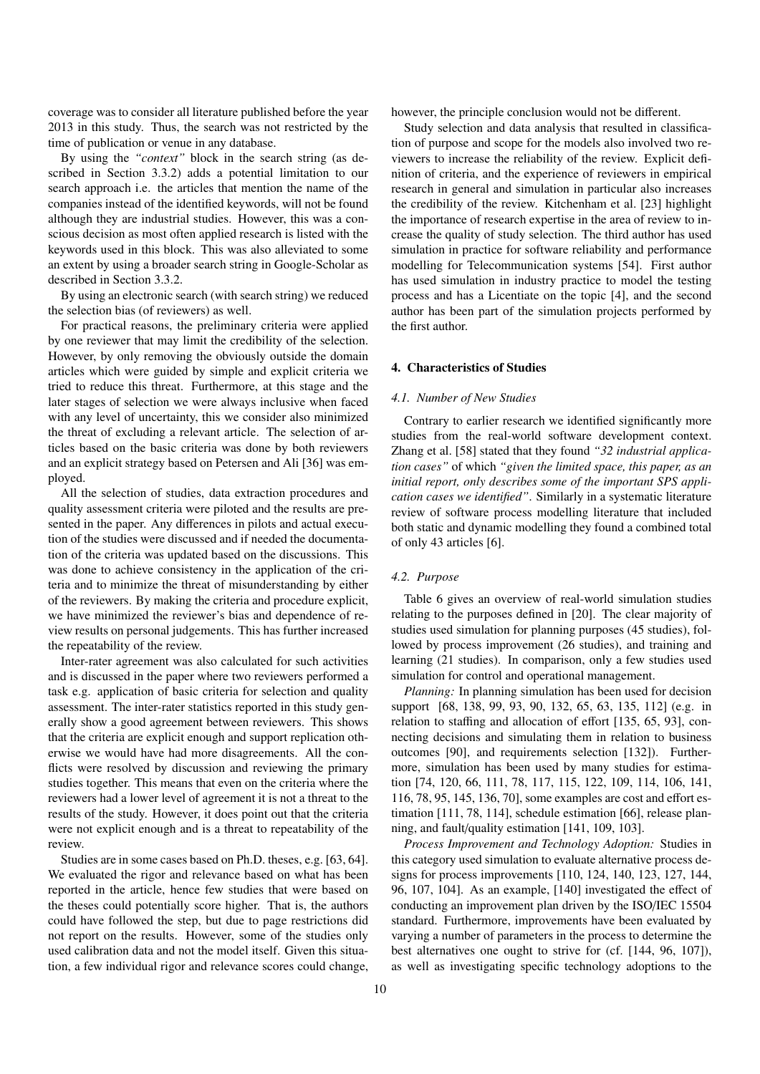coverage was to consider all literature published before the year 2013 in this study. Thus, the search was not restricted by the time of publication or venue in any database.

By using the *"context"* block in the search string (as described in Section 3.3.2) adds a potential limitation to our search approach i.e. the articles that mention the name of the companies instead of the identified keywords, will not be found although they are industrial studies. However, this was a conscious decision as most often applied research is listed with the keywords used in this block. This was also alleviated to some an extent by using a broader search string in Google-Scholar as described in Section 3.3.2.

By using an electronic search (with search string) we reduced the selection bias (of reviewers) as well.

For practical reasons, the preliminary criteria were applied by one reviewer that may limit the credibility of the selection. However, by only removing the obviously outside the domain articles which were guided by simple and explicit criteria we tried to reduce this threat. Furthermore, at this stage and the later stages of selection we were always inclusive when faced with any level of uncertainty, this we consider also minimized the threat of excluding a relevant article. The selection of articles based on the basic criteria was done by both reviewers and an explicit strategy based on Petersen and Ali [36] was employed.

All the selection of studies, data extraction procedures and quality assessment criteria were piloted and the results are presented in the paper. Any differences in pilots and actual execution of the studies were discussed and if needed the documentation of the criteria was updated based on the discussions. This was done to achieve consistency in the application of the criteria and to minimize the threat of misunderstanding by either of the reviewers. By making the criteria and procedure explicit, we have minimized the reviewer's bias and dependence of review results on personal judgements. This has further increased the repeatability of the review.

Inter-rater agreement was also calculated for such activities and is discussed in the paper where two reviewers performed a task e.g. application of basic criteria for selection and quality assessment. The inter-rater statistics reported in this study generally show a good agreement between reviewers. This shows that the criteria are explicit enough and support replication otherwise we would have had more disagreements. All the conflicts were resolved by discussion and reviewing the primary studies together. This means that even on the criteria where the reviewers had a lower level of agreement it is not a threat to the results of the study. However, it does point out that the criteria were not explicit enough and is a threat to repeatability of the review.

Studies are in some cases based on Ph.D. theses, e.g. [63, 64]. We evaluated the rigor and relevance based on what has been reported in the article, hence few studies that were based on the theses could potentially score higher. That is, the authors could have followed the step, but due to page restrictions did not report on the results. However, some of the studies only used calibration data and not the model itself. Given this situation, a few individual rigor and relevance scores could change,

however, the principle conclusion would not be different.

Study selection and data analysis that resulted in classification of purpose and scope for the models also involved two reviewers to increase the reliability of the review. Explicit definition of criteria, and the experience of reviewers in empirical research in general and simulation in particular also increases the credibility of the review. Kitchenham et al. [23] highlight the importance of research expertise in the area of review to increase the quality of study selection. The third author has used simulation in practice for software reliability and performance modelling for Telecommunication systems [54]. First author has used simulation in industry practice to model the testing process and has a Licentiate on the topic [4], and the second author has been part of the simulation projects performed by the first author.

### 4. Characteristics of Studies

#### *4.1. Number of New Studies*

Contrary to earlier research we identified significantly more studies from the real-world software development context. Zhang et al. [58] stated that they found *"32 industrial application cases"* of which *"given the limited space, this paper, as an initial report, only describes some of the important SPS application cases we identified"*. Similarly in a systematic literature review of software process modelling literature that included both static and dynamic modelling they found a combined total of only 43 articles [6].

### *4.2. Purpose*

Table 6 gives an overview of real-world simulation studies relating to the purposes defined in [20]. The clear majority of studies used simulation for planning purposes (45 studies), followed by process improvement (26 studies), and training and learning (21 studies). In comparison, only a few studies used simulation for control and operational management.

*Planning:* In planning simulation has been used for decision support [68, 138, 99, 93, 90, 132, 65, 63, 135, 112] (e.g. in relation to staffing and allocation of effort [135, 65, 93], connecting decisions and simulating them in relation to business outcomes [90], and requirements selection [132]). Furthermore, simulation has been used by many studies for estimation [74, 120, 66, 111, 78, 117, 115, 122, 109, 114, 106, 141, 116, 78, 95, 145, 136, 70], some examples are cost and effort estimation [111, 78, 114], schedule estimation [66], release planning, and fault/quality estimation [141, 109, 103].

*Process Improvement and Technology Adoption:* Studies in this category used simulation to evaluate alternative process designs for process improvements [110, 124, 140, 123, 127, 144, 96, 107, 104]. As an example, [140] investigated the effect of conducting an improvement plan driven by the ISO/IEC 15504 standard. Furthermore, improvements have been evaluated by varying a number of parameters in the process to determine the best alternatives one ought to strive for (cf. [144, 96, 107]), as well as investigating specific technology adoptions to the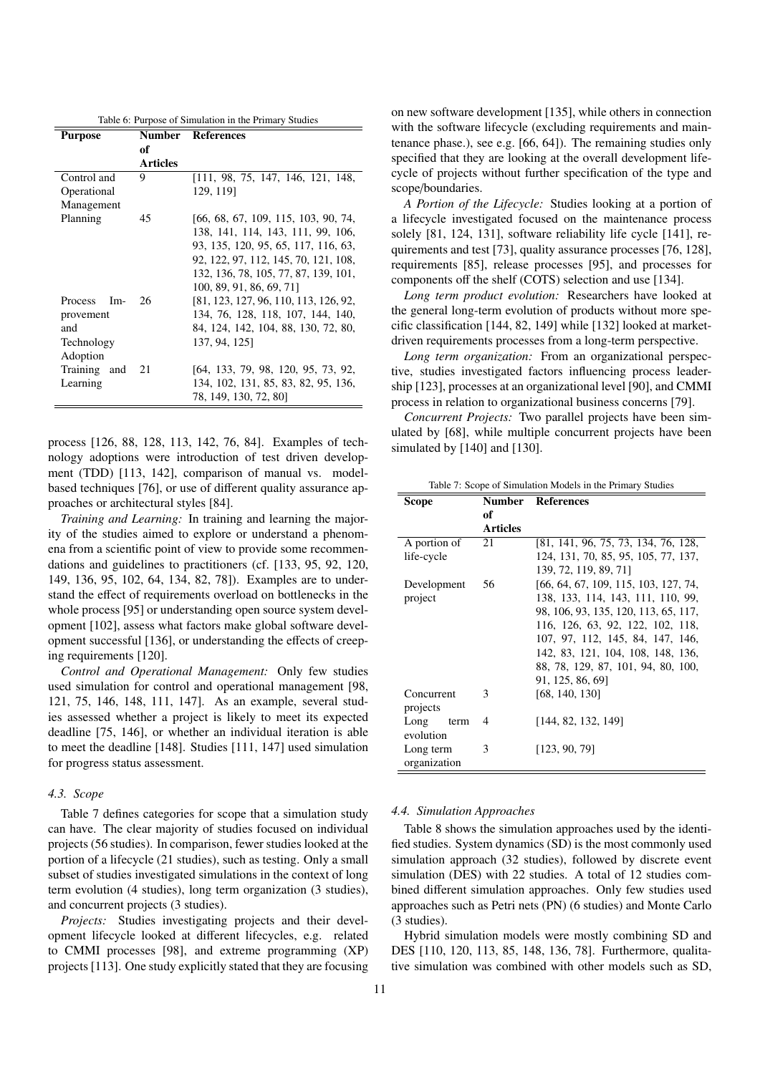|  |  | Table 6: Purpose of Simulation in the Primary Studies |  |
|--|--|-------------------------------------------------------|--|
|  |  |                                                       |  |

| <b>Purpose</b> |                 | <b>Number References</b>              |
|----------------|-----------------|---------------------------------------|
|                | оf              |                                       |
|                | <b>Articles</b> |                                       |
| Control and    | 9               | [111, 98, 75, 147, 146, 121, 148,     |
| Operational    |                 | 129, 1191                             |
| Management     |                 |                                       |
| Planning       | 45              | [66, 68, 67, 109, 115, 103, 90, 74,   |
|                |                 | 138, 141, 114, 143, 111, 99, 106,     |
|                |                 | 93, 135, 120, 95, 65, 117, 116, 63,   |
|                |                 | 92, 122, 97, 112, 145, 70, 121, 108,  |
|                |                 | 132, 136, 78, 105, 77, 87, 139, 101,  |
|                |                 | 100, 89, 91, 86, 69, 71]              |
| Process Im-    | 26              | [81, 123, 127, 96, 110, 113, 126, 92, |
| provement      |                 | 134, 76, 128, 118, 107, 144, 140,     |
| and            |                 | 84, 124, 142, 104, 88, 130, 72, 80,   |
| Technology     |                 | 137, 94, 1251                         |
| Adoption       |                 |                                       |
| Training and   | 21              | [64, 133, 79, 98, 120, 95, 73, 92,    |
| Learning       |                 | 134, 102, 131, 85, 83, 82, 95, 136,   |
|                |                 | 78, 149, 130, 72, 80]                 |

process [126, 88, 128, 113, 142, 76, 84]. Examples of technology adoptions were introduction of test driven development (TDD) [113, 142], comparison of manual vs. modelbased techniques [76], or use of different quality assurance approaches or architectural styles [84].

*Training and Learning:* In training and learning the majority of the studies aimed to explore or understand a phenomena from a scientific point of view to provide some recommendations and guidelines to practitioners (cf. [133, 95, 92, 120, 149, 136, 95, 102, 64, 134, 82, 78]). Examples are to understand the effect of requirements overload on bottlenecks in the whole process [95] or understanding open source system development [102], assess what factors make global software development successful [136], or understanding the effects of creeping requirements [120].

*Control and Operational Management:* Only few studies used simulation for control and operational management [98, 121, 75, 146, 148, 111, 147]. As an example, several studies assessed whether a project is likely to meet its expected deadline [75, 146], or whether an individual iteration is able to meet the deadline [148]. Studies [111, 147] used simulation for progress status assessment.

#### *4.3. Scope*

Table 7 defines categories for scope that a simulation study can have. The clear majority of studies focused on individual projects (56 studies). In comparison, fewer studies looked at the portion of a lifecycle (21 studies), such as testing. Only a small subset of studies investigated simulations in the context of long term evolution (4 studies), long term organization (3 studies), and concurrent projects (3 studies).

*Projects:* Studies investigating projects and their development lifecycle looked at different lifecycles, e.g. related to CMMI processes [98], and extreme programming (XP) projects [113]. One study explicitly stated that they are focusing

on new software development [135], while others in connection with the software lifecycle (excluding requirements and maintenance phase.), see e.g. [66, 64]). The remaining studies only specified that they are looking at the overall development lifecycle of projects without further specification of the type and scope/boundaries.

*A Portion of the Lifecycle:* Studies looking at a portion of a lifecycle investigated focused on the maintenance process solely [81, 124, 131], software reliability life cycle [141], requirements and test [73], quality assurance processes [76, 128], requirements [85], release processes [95], and processes for components off the shelf (COTS) selection and use [134].

*Long term product evolution:* Researchers have looked at the general long-term evolution of products without more specific classification [144, 82, 149] while [132] looked at marketdriven requirements processes from a long-term perspective.

*Long term organization:* From an organizational perspective, studies investigated factors influencing process leadership [123], processes at an organizational level [90], and CMMI process in relation to organizational business concerns [79].

*Concurrent Projects:* Two parallel projects have been simulated by [68], while multiple concurrent projects have been simulated by [140] and [130].

Table 7: Scope of Simulation Models in the Primary Studies

| Scope        |                 | <b>Number References</b>             |
|--------------|-----------------|--------------------------------------|
|              | of              |                                      |
|              | <b>Articles</b> |                                      |
| A portion of | 21              | [81, 141, 96, 75, 73, 134, 76, 128,  |
| life-cycle   |                 | 124, 131, 70, 85, 95, 105, 77, 137,  |
|              |                 | 139, 72, 119, 89, 71]                |
| Development  | 56              | [66, 64, 67, 109, 115, 103, 127, 74, |
| project      |                 | 138, 133, 114, 143, 111, 110, 99,    |
|              |                 | 98, 106, 93, 135, 120, 113, 65, 117, |
|              |                 | 116, 126, 63, 92, 122, 102, 118,     |
|              |                 | 107, 97, 112, 145, 84, 147, 146,     |
|              |                 | 142, 83, 121, 104, 108, 148, 136,    |
|              |                 | 88, 78, 129, 87, 101, 94, 80, 100,   |
|              |                 | 91, 125, 86, 69]                     |
| Concurrent   | 3               | [68, 140, 130]                       |
| projects     |                 |                                      |
| Long<br>term | 4               | [144, 82, 132, 149]                  |
| evolution    |                 |                                      |
| Long term    | 3               | [123, 90, 79]                        |
| organization |                 |                                      |

#### *4.4. Simulation Approaches*

Table 8 shows the simulation approaches used by the identified studies. System dynamics (SD) is the most commonly used simulation approach (32 studies), followed by discrete event simulation (DES) with 22 studies. A total of 12 studies combined different simulation approaches. Only few studies used approaches such as Petri nets (PN) (6 studies) and Monte Carlo (3 studies).

Hybrid simulation models were mostly combining SD and DES [110, 120, 113, 85, 148, 136, 78]. Furthermore, qualitative simulation was combined with other models such as SD,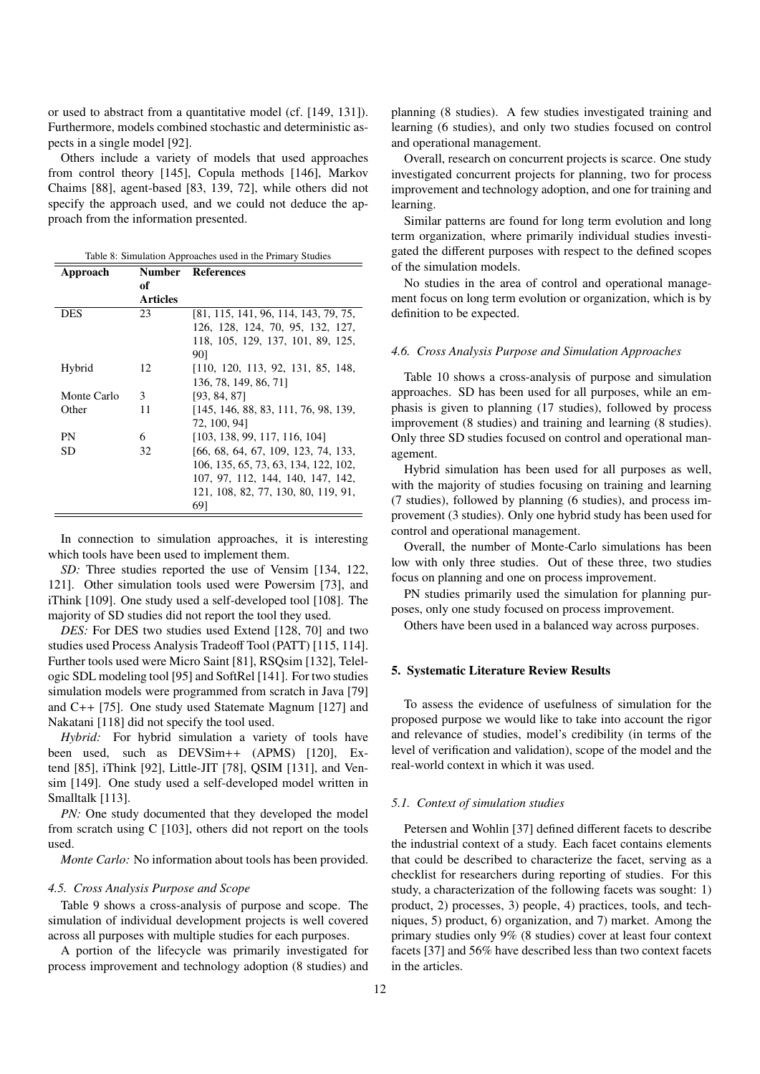or used to abstract from a quantitative model (cf. [149, 131]). Furthermore, models combined stochastic and deterministic aspects in a single model [92].

Others include a variety of models that used approaches from control theory [145], Copula methods [146], Markov Chaims [88], agent-based [83, 139, 72], while others did not specify the approach used, and we could not deduce the approach from the information presented.

|                 | Table 8: Simulation Approaches used in the Primary Studies |                                      |  |  |
|-----------------|------------------------------------------------------------|--------------------------------------|--|--|
| <b>Approach</b> |                                                            | <b>Number References</b>             |  |  |
|                 | of                                                         |                                      |  |  |
|                 | <b>Articles</b>                                            |                                      |  |  |
| DES             | 23                                                         | [81, 115, 141, 96, 114, 143, 79, 75, |  |  |
|                 |                                                            | 126, 128, 124, 70, 95, 132, 127,     |  |  |
|                 |                                                            | 118, 105, 129, 137, 101, 89, 125,    |  |  |
|                 |                                                            | 901                                  |  |  |
| Hybrid          | 12                                                         | [110, 120, 113, 92, 131, 85, 148,    |  |  |
|                 |                                                            | 136, 78, 149, 86, 71]                |  |  |
| Monte Carlo     | 3                                                          | [93, 84, 87]                         |  |  |
| Other           | 11                                                         | [145, 146, 88, 83, 111, 76, 98, 139, |  |  |
|                 |                                                            | 72, 100, 941                         |  |  |
| PN              | 6                                                          | [103, 138, 99, 117, 116, 104]        |  |  |
| SD              | 32                                                         | [66, 68, 64, 67, 109, 123, 74, 133,  |  |  |
|                 |                                                            | 106, 135, 65, 73, 63, 134, 122, 102, |  |  |
|                 |                                                            | 107, 97, 112, 144, 140, 147, 142,    |  |  |
|                 |                                                            | 121, 108, 82, 77, 130, 80, 119, 91,  |  |  |
|                 |                                                            | 691                                  |  |  |

In connection to simulation approaches, it is interesting which tools have been used to implement them.

*SD:* Three studies reported the use of Vensim [134, 122, 121]. Other simulation tools used were Powersim [73], and iThink [109]. One study used a self-developed tool [108]. The majority of SD studies did not report the tool they used.

*DES:* For DES two studies used Extend [128, 70] and two studies used Process Analysis Tradeoff Tool (PATT) [115, 114]. Further tools used were Micro Saint [81], RSQsim [132], Telelogic SDL modeling tool [95] and SoftRel [141]. For two studies simulation models were programmed from scratch in Java [79] and C++ [75]. One study used Statemate Magnum [127] and Nakatani [118] did not specify the tool used.

*Hybrid:* For hybrid simulation a variety of tools have been used, such as DEVSim++ (APMS) [120], Extend [85], iThink [92], Little-JIT [78], QSIM [131], and Vensim [149]. One study used a self-developed model written in Smalltalk [113].

*PN:* One study documented that they developed the model from scratch using C [103], others did not report on the tools used.

*Monte Carlo:* No information about tools has been provided.

#### *4.5. Cross Analysis Purpose and Scope*

Table 9 shows a cross-analysis of purpose and scope. The simulation of individual development projects is well covered across all purposes with multiple studies for each purposes.

A portion of the lifecycle was primarily investigated for process improvement and technology adoption (8 studies) and

planning (8 studies). A few studies investigated training and learning (6 studies), and only two studies focused on control and operational management.

Overall, research on concurrent projects is scarce. One study investigated concurrent projects for planning, two for process improvement and technology adoption, and one for training and learning.

Similar patterns are found for long term evolution and long term organization, where primarily individual studies investigated the different purposes with respect to the defined scopes of the simulation models.

No studies in the area of control and operational management focus on long term evolution or organization, which is by definition to be expected.

# *4.6. Cross Analysis Purpose and Simulation Approaches*

Table 10 shows a cross-analysis of purpose and simulation approaches. SD has been used for all purposes, while an emphasis is given to planning (17 studies), followed by process improvement (8 studies) and training and learning (8 studies). Only three SD studies focused on control and operational management.

Hybrid simulation has been used for all purposes as well, with the majority of studies focusing on training and learning (7 studies), followed by planning (6 studies), and process improvement (3 studies). Only one hybrid study has been used for control and operational management.

Overall, the number of Monte-Carlo simulations has been low with only three studies. Out of these three, two studies focus on planning and one on process improvement.

PN studies primarily used the simulation for planning purposes, only one study focused on process improvement.

Others have been used in a balanced way across purposes.

#### 5. Systematic Literature Review Results

To assess the evidence of usefulness of simulation for the proposed purpose we would like to take into account the rigor and relevance of studies, model's credibility (in terms of the level of verification and validation), scope of the model and the real-world context in which it was used.

#### *5.1. Context of simulation studies*

Petersen and Wohlin [37] defined different facets to describe the industrial context of a study. Each facet contains elements that could be described to characterize the facet, serving as a checklist for researchers during reporting of studies. For this study, a characterization of the following facets was sought: 1) product, 2) processes, 3) people, 4) practices, tools, and techniques, 5) product, 6) organization, and 7) market. Among the primary studies only 9% (8 studies) cover at least four context facets [37] and 56% have described less than two context facets in the articles.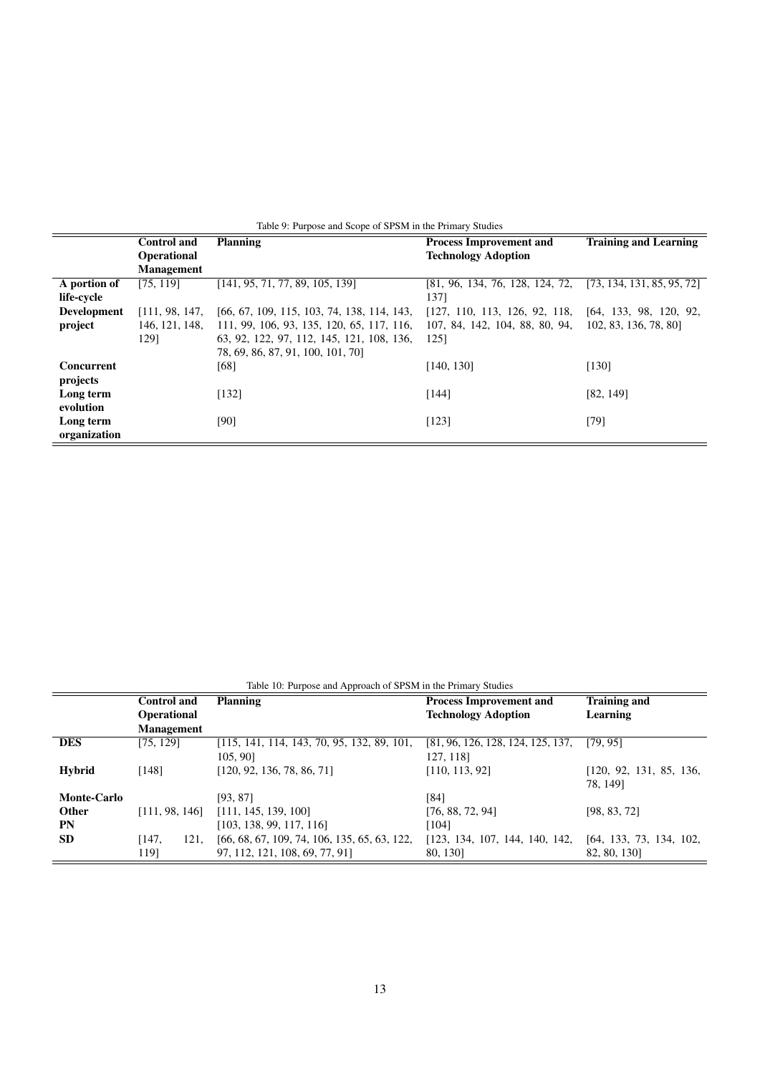|                   | Table 9: Purpose and Scope of SPSM in the Primary Studies |                                              |                                 |                              |  |  |  |
|-------------------|-----------------------------------------------------------|----------------------------------------------|---------------------------------|------------------------------|--|--|--|
|                   | <b>Control</b> and                                        | <b>Planning</b>                              | <b>Process Improvement and</b>  | <b>Training and Learning</b> |  |  |  |
|                   | <b>Operational</b>                                        |                                              | <b>Technology Adoption</b>      |                              |  |  |  |
|                   | <b>Management</b>                                         |                                              |                                 |                              |  |  |  |
| A portion of      | [75, 119]                                                 | [141, 95, 71, 77, 89, 105, 139]              | [81, 96, 134, 76, 128, 124, 72, | [73, 134, 131, 85, 95, 72]   |  |  |  |
| life-cycle        |                                                           |                                              | 1371                            |                              |  |  |  |
| Development       | [111, 98, 147,                                            | $[66, 67, 109, 115, 103, 74, 138, 114, 143,$ | [127, 110, 113, 126, 92, 118,   | [64, 133, 98, 120, 92,       |  |  |  |
| project           | 146, 121, 148,                                            | 111, 99, 106, 93, 135, 120, 65, 117, 116,    | 107, 84, 142, 104, 88, 80, 94,  | 102, 83, 136, 78, 80]        |  |  |  |
|                   | 1291                                                      | 63, 92, 122, 97, 112, 145, 121, 108, 136,    | 1251                            |                              |  |  |  |
|                   |                                                           | 78, 69, 86, 87, 91, 100, 101, 701            |                                 |                              |  |  |  |
| <b>Concurrent</b> |                                                           | [68]                                         | [140, 130]                      | [130]                        |  |  |  |
| projects          |                                                           |                                              |                                 |                              |  |  |  |
| Long term         |                                                           | [132]                                        | [144]                           | [82, 149]                    |  |  |  |
| evolution         |                                                           |                                              |                                 |                              |  |  |  |
| Long term         |                                                           | [90]                                         | [123]                           | [79]                         |  |  |  |
| organization      |                                                           |                                              |                                 |                              |  |  |  |

Table 10: Purpose and Approach of SPSM in the Primary Studies

|                    | <b>Control</b> and | <b>Planning</b>                              | <b>Process Improvement and</b>    | <b>Training and</b>     |
|--------------------|--------------------|----------------------------------------------|-----------------------------------|-------------------------|
|                    | <b>Operational</b> |                                              | <b>Technology Adoption</b>        | Learning                |
|                    | <b>Management</b>  |                                              |                                   |                         |
| <b>DES</b>         | [75, 129]          | $[115, 141, 114, 143, 70, 95, 132, 89, 101,$ | [81, 96, 126, 128, 124, 125, 137, | [79, 95]                |
|                    |                    | 105, 90]                                     | 127, 118]                         |                         |
| <b>Hybrid</b>      | [148]              | [120, 92, 136, 78, 86, 71]                   | [110, 113, 92]                    | [120, 92, 131, 85, 136, |
|                    |                    |                                              |                                   | 78, 1491                |
| <b>Monte-Carlo</b> |                    | [93, 87]                                     | [84]                              |                         |
| Other              | [111, 98, 146]     | [111, 145, 139, 100]                         | [76, 88, 72, 94]                  | [98, 83, 72]            |
| <b>PN</b>          |                    | [103, 138, 99, 117, 116]                     | [104]                             |                         |
| <b>SD</b>          | [147,<br>121,      | [66, 68, 67, 109, 74, 106, 135, 65, 63, 122, | [123, 134, 107, 144, 140, 142,    | [64, 133, 73, 134, 102, |
|                    | 1191               | 97, 112, 121, 108, 69, 77, 91]               | 80, 130]                          | 82, 80, 130]            |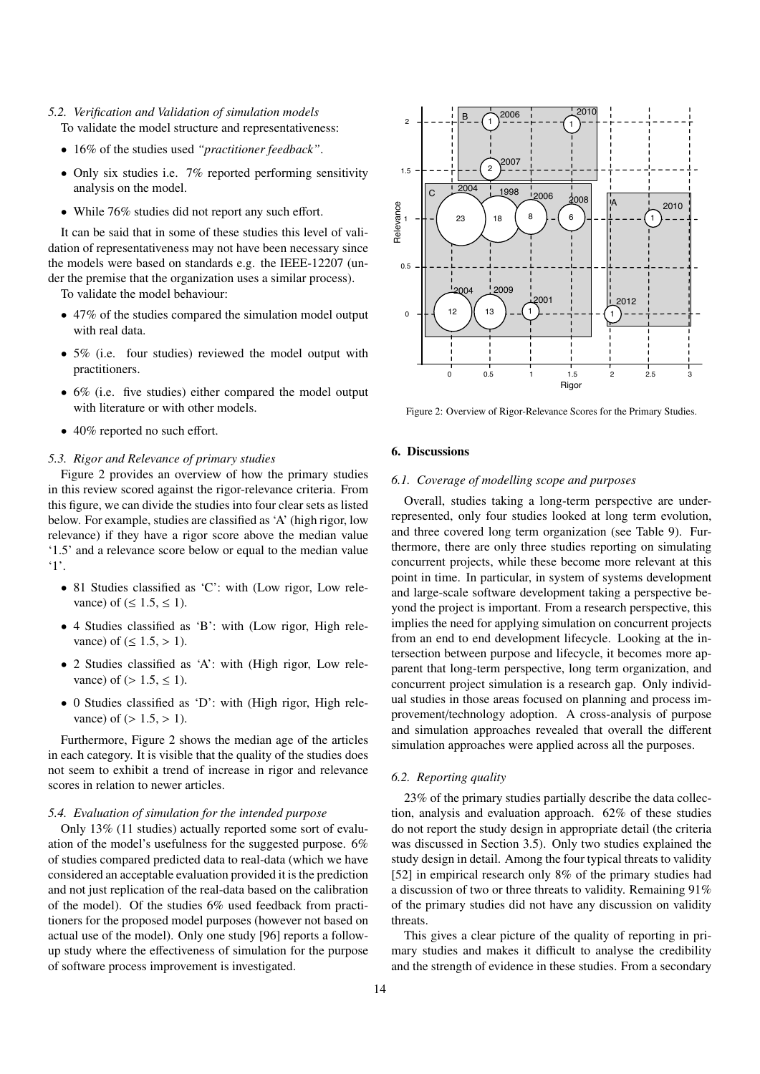- *5.2. Verification and Validation of simulation models* To validate the model structure and representativeness:
	- 16% of the studies used *"practitioner feedback"*.
	- Only six studies i.e. 7% reported performing sensitivity analysis on the model.
	- While 76% studies did not report any such effort.

It can be said that in some of these studies this level of validation of representativeness may not have been necessary since the models were based on standards e.g. the IEEE-12207 (under the premise that the organization uses a similar process).

To validate the model behaviour:

- 47% of the studies compared the simulation model output with real data.
- 5% (i.e. four studies) reviewed the model output with practitioners.
- 6% (i.e. five studies) either compared the model output with literature or with other models.
- 40% reported no such effort.

### *5.3. Rigor and Relevance of primary studies*

Figure 2 provides an overview of how the primary studies in this review scored against the rigor-relevance criteria. From this figure, we can divide the studies into four clear sets as listed below. For example, studies are classified as 'A' (high rigor, low relevance) if they have a rigor score above the median value '1.5' and a relevance score below or equal to the median value '1'.

- 81 Studies classified as 'C': with (Low rigor, Low relevance) of ( $\leq 1.5, \leq 1$ ).
- 4 Studies classified as 'B': with (Low rigor, High relevance) of ( $\leq 1.5$ ,  $> 1$ ).
- 2 Studies classified as 'A': with (High rigor, Low relevance) of  $(> 1.5, \le 1)$ .
- 0 Studies classified as 'D': with (High rigor, High relevance) of  $(> 1.5, > 1)$ .

Furthermore, Figure 2 shows the median age of the articles in each category. It is visible that the quality of the studies does not seem to exhibit a trend of increase in rigor and relevance scores in relation to newer articles.

#### *5.4. Evaluation of simulation for the intended purpose*

Only 13% (11 studies) actually reported some sort of evaluation of the model's usefulness for the suggested purpose. 6% of studies compared predicted data to real-data (which we have considered an acceptable evaluation provided it is the prediction and not just replication of the real-data based on the calibration of the model). Of the studies 6% used feedback from practitioners for the proposed model purposes (however not based on actual use of the model). Only one study [96] reports a followup study where the effectiveness of simulation for the purpose of software process improvement is investigated.



Figure 2: Overview of Rigor-Relevance Scores for the Primary Studies.

# 6. Discussions

### *6.1. Coverage of modelling scope and purposes*

Overall, studies taking a long-term perspective are underrepresented, only four studies looked at long term evolution, and three covered long term organization (see Table 9). Furthermore, there are only three studies reporting on simulating concurrent projects, while these become more relevant at this point in time. In particular, in system of systems development and large-scale software development taking a perspective beyond the project is important. From a research perspective, this implies the need for applying simulation on concurrent projects from an end to end development lifecycle. Looking at the intersection between purpose and lifecycle, it becomes more apparent that long-term perspective, long term organization, and concurrent project simulation is a research gap. Only individual studies in those areas focused on planning and process improvement/technology adoption. A cross-analysis of purpose and simulation approaches revealed that overall the different simulation approaches were applied across all the purposes.

### *6.2. Reporting quality*

23% of the primary studies partially describe the data collection, analysis and evaluation approach. 62% of these studies do not report the study design in appropriate detail (the criteria was discussed in Section 3.5). Only two studies explained the study design in detail. Among the four typical threats to validity [52] in empirical research only 8% of the primary studies had a discussion of two or three threats to validity. Remaining 91% of the primary studies did not have any discussion on validity threats.

This gives a clear picture of the quality of reporting in primary studies and makes it difficult to analyse the credibility and the strength of evidence in these studies. From a secondary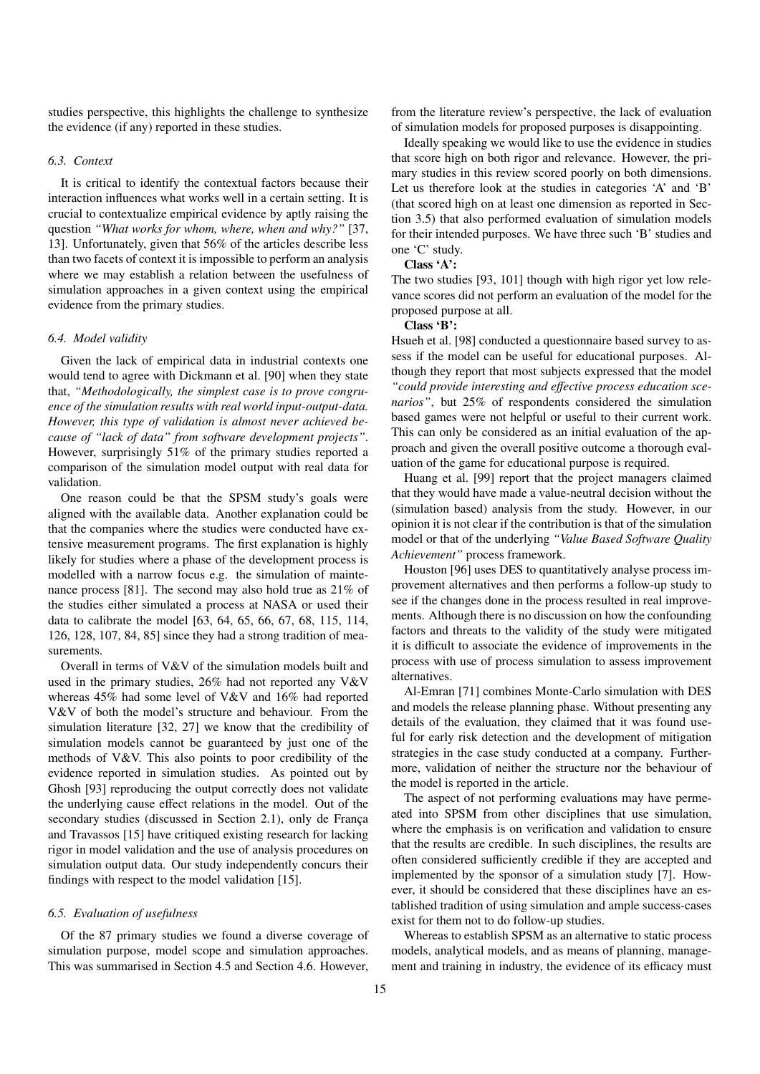studies perspective, this highlights the challenge to synthesize the evidence (if any) reported in these studies.

# *6.3. Context*

It is critical to identify the contextual factors because their interaction influences what works well in a certain setting. It is crucial to contextualize empirical evidence by aptly raising the question *"What works for whom, where, when and why?"* [37, 13]. Unfortunately, given that 56% of the articles describe less than two facets of context it is impossible to perform an analysis where we may establish a relation between the usefulness of simulation approaches in a given context using the empirical evidence from the primary studies.

#### *6.4. Model validity*

Given the lack of empirical data in industrial contexts one would tend to agree with Dickmann et al. [90] when they state that, *"Methodologically, the simplest case is to prove congruence of the simulation results with real world input-output-data. However, this type of validation is almost never achieved because of "lack of data" from software development projects"*. However, surprisingly 51% of the primary studies reported a comparison of the simulation model output with real data for validation.

One reason could be that the SPSM study's goals were aligned with the available data. Another explanation could be that the companies where the studies were conducted have extensive measurement programs. The first explanation is highly likely for studies where a phase of the development process is modelled with a narrow focus e.g. the simulation of maintenance process [81]. The second may also hold true as 21% of the studies either simulated a process at NASA or used their data to calibrate the model [63, 64, 65, 66, 67, 68, 115, 114, 126, 128, 107, 84, 85] since they had a strong tradition of measurements.

Overall in terms of V&V of the simulation models built and used in the primary studies, 26% had not reported any V&V whereas 45% had some level of V&V and 16% had reported V&V of both the model's structure and behaviour. From the simulation literature [32, 27] we know that the credibility of simulation models cannot be guaranteed by just one of the methods of V&V. This also points to poor credibility of the evidence reported in simulation studies. As pointed out by Ghosh [93] reproducing the output correctly does not validate the underlying cause effect relations in the model. Out of the secondary studies (discussed in Section 2.1), only de Franca and Travassos [15] have critiqued existing research for lacking rigor in model validation and the use of analysis procedures on simulation output data. Our study independently concurs their findings with respect to the model validation [15].

# *6.5. Evaluation of usefulness*

Of the 87 primary studies we found a diverse coverage of simulation purpose, model scope and simulation approaches. This was summarised in Section 4.5 and Section 4.6. However,

from the literature review's perspective, the lack of evaluation of simulation models for proposed purposes is disappointing.

Ideally speaking we would like to use the evidence in studies that score high on both rigor and relevance. However, the primary studies in this review scored poorly on both dimensions. Let us therefore look at the studies in categories 'A' and 'B' (that scored high on at least one dimension as reported in Section 3.5) that also performed evaluation of simulation models for their intended purposes. We have three such 'B' studies and one 'C' study.

#### Class 'A':

The two studies [93, 101] though with high rigor yet low relevance scores did not perform an evaluation of the model for the proposed purpose at all.

#### Class 'B':

Hsueh et al. [98] conducted a questionnaire based survey to assess if the model can be useful for educational purposes. Although they report that most subjects expressed that the model *"could provide interesting and e*ff*ective process education scenarios"*, but 25% of respondents considered the simulation based games were not helpful or useful to their current work. This can only be considered as an initial evaluation of the approach and given the overall positive outcome a thorough evaluation of the game for educational purpose is required.

Huang et al. [99] report that the project managers claimed that they would have made a value-neutral decision without the (simulation based) analysis from the study. However, in our opinion it is not clear if the contribution is that of the simulation model or that of the underlying *"Value Based Software Quality Achievement"* process framework.

Houston [96] uses DES to quantitatively analyse process improvement alternatives and then performs a follow-up study to see if the changes done in the process resulted in real improvements. Although there is no discussion on how the confounding factors and threats to the validity of the study were mitigated it is difficult to associate the evidence of improvements in the process with use of process simulation to assess improvement alternatives.

Al-Emran [71] combines Monte-Carlo simulation with DES and models the release planning phase. Without presenting any details of the evaluation, they claimed that it was found useful for early risk detection and the development of mitigation strategies in the case study conducted at a company. Furthermore, validation of neither the structure nor the behaviour of the model is reported in the article.

The aspect of not performing evaluations may have permeated into SPSM from other disciplines that use simulation, where the emphasis is on verification and validation to ensure that the results are credible. In such disciplines, the results are often considered sufficiently credible if they are accepted and implemented by the sponsor of a simulation study [7]. However, it should be considered that these disciplines have an established tradition of using simulation and ample success-cases exist for them not to do follow-up studies.

Whereas to establish SPSM as an alternative to static process models, analytical models, and as means of planning, management and training in industry, the evidence of its efficacy must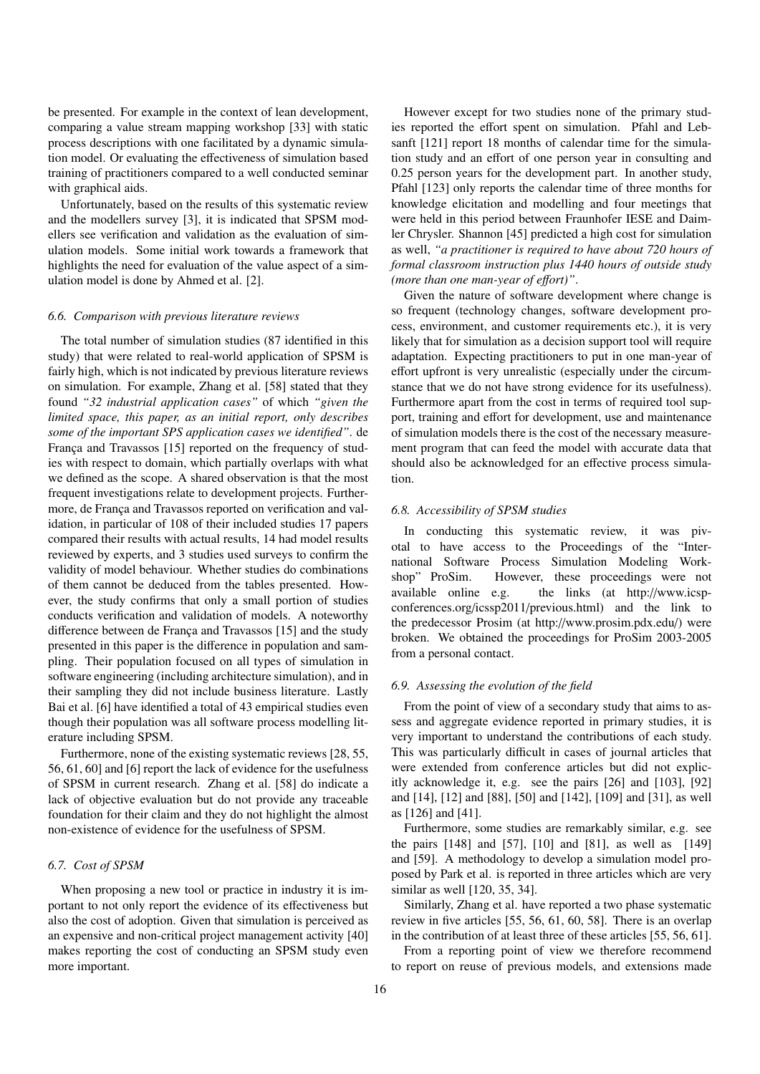be presented. For example in the context of lean development, comparing a value stream mapping workshop [33] with static process descriptions with one facilitated by a dynamic simulation model. Or evaluating the effectiveness of simulation based training of practitioners compared to a well conducted seminar with graphical aids.

Unfortunately, based on the results of this systematic review and the modellers survey [3], it is indicated that SPSM modellers see verification and validation as the evaluation of simulation models. Some initial work towards a framework that highlights the need for evaluation of the value aspect of a simulation model is done by Ahmed et al. [2].

#### *6.6. Comparison with previous literature reviews*

The total number of simulation studies (87 identified in this study) that were related to real-world application of SPSM is fairly high, which is not indicated by previous literature reviews on simulation. For example, Zhang et al. [58] stated that they found *"32 industrial application cases"* of which *"given the limited space, this paper, as an initial report, only describes some of the important SPS application cases we identified"*. de França and Travassos [15] reported on the frequency of studies with respect to domain, which partially overlaps with what we defined as the scope. A shared observation is that the most frequent investigations relate to development projects. Furthermore, de França and Travassos reported on verification and validation, in particular of 108 of their included studies 17 papers compared their results with actual results, 14 had model results reviewed by experts, and 3 studies used surveys to confirm the validity of model behaviour. Whether studies do combinations of them cannot be deduced from the tables presented. However, the study confirms that only a small portion of studies conducts verification and validation of models. A noteworthy difference between de França and Travassos [15] and the study presented in this paper is the difference in population and sampling. Their population focused on all types of simulation in software engineering (including architecture simulation), and in their sampling they did not include business literature. Lastly Bai et al. [6] have identified a total of 43 empirical studies even though their population was all software process modelling literature including SPSM.

Furthermore, none of the existing systematic reviews [28, 55, 56, 61, 60] and [6] report the lack of evidence for the usefulness of SPSM in current research. Zhang et al. [58] do indicate a lack of objective evaluation but do not provide any traceable foundation for their claim and they do not highlight the almost non-existence of evidence for the usefulness of SPSM.

### *6.7. Cost of SPSM*

When proposing a new tool or practice in industry it is important to not only report the evidence of its effectiveness but also the cost of adoption. Given that simulation is perceived as an expensive and non-critical project management activity [40] makes reporting the cost of conducting an SPSM study even more important.

However except for two studies none of the primary studies reported the effort spent on simulation. Pfahl and Lebsanft [121] report 18 months of calendar time for the simulation study and an effort of one person year in consulting and 0.25 person years for the development part. In another study, Pfahl [123] only reports the calendar time of three months for knowledge elicitation and modelling and four meetings that were held in this period between Fraunhofer IESE and Daimler Chrysler. Shannon [45] predicted a high cost for simulation as well, *"a practitioner is required to have about 720 hours of formal classroom instruction plus 1440 hours of outside study (more than one man-year of e*ff*ort)"*.

Given the nature of software development where change is so frequent (technology changes, software development process, environment, and customer requirements etc.), it is very likely that for simulation as a decision support tool will require adaptation. Expecting practitioners to put in one man-year of effort upfront is very unrealistic (especially under the circumstance that we do not have strong evidence for its usefulness). Furthermore apart from the cost in terms of required tool support, training and effort for development, use and maintenance of simulation models there is the cost of the necessary measurement program that can feed the model with accurate data that should also be acknowledged for an effective process simulation.

### *6.8. Accessibility of SPSM studies*

In conducting this systematic review, it was pivotal to have access to the Proceedings of the "International Software Process Simulation Modeling Workshop" ProSim. However, these proceedings were not available online e.g. the links (at http://www.icspconferences.org/icssp2011/previous.html) and the link to the predecessor Prosim (at http://www.prosim.pdx.edu/) were broken. We obtained the proceedings for ProSim 2003-2005 from a personal contact.

#### *6.9. Assessing the evolution of the field*

From the point of view of a secondary study that aims to assess and aggregate evidence reported in primary studies, it is very important to understand the contributions of each study. This was particularly difficult in cases of journal articles that were extended from conference articles but did not explicitly acknowledge it, e.g. see the pairs [26] and [103], [92] and [14], [12] and [88], [50] and [142], [109] and [31], as well as [126] and [41].

Furthermore, some studies are remarkably similar, e.g. see the pairs [148] and [57], [10] and [81], as well as [149] and [59]. A methodology to develop a simulation model proposed by Park et al. is reported in three articles which are very similar as well [120, 35, 34].

Similarly, Zhang et al. have reported a two phase systematic review in five articles [55, 56, 61, 60, 58]. There is an overlap in the contribution of at least three of these articles [55, 56, 61].

From a reporting point of view we therefore recommend to report on reuse of previous models, and extensions made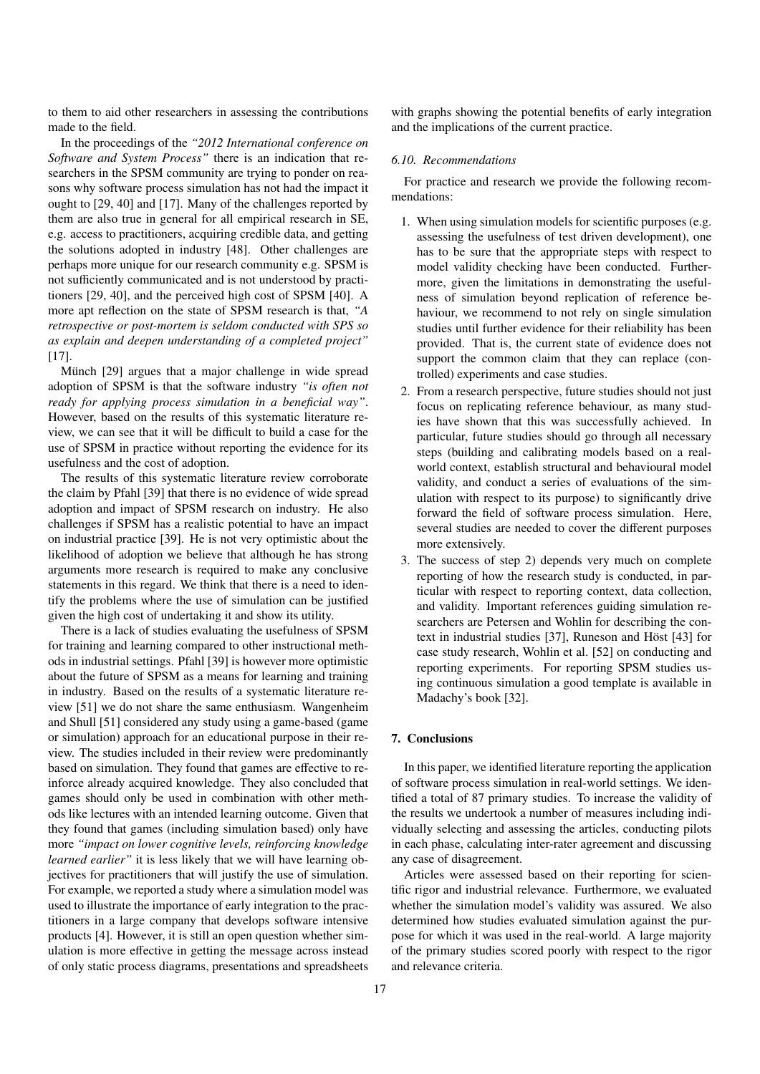to them to aid other researchers in assessing the contributions made to the field.

In the proceedings of the *"2012 International conference on Software and System Process"* there is an indication that researchers in the SPSM community are trying to ponder on reasons why software process simulation has not had the impact it ought to [29, 40] and [17]. Many of the challenges reported by them are also true in general for all empirical research in SE, e.g. access to practitioners, acquiring credible data, and getting the solutions adopted in industry [48]. Other challenges are perhaps more unique for our research community e.g. SPSM is not sufficiently communicated and is not understood by practitioners [29, 40], and the perceived high cost of SPSM [40]. A more apt reflection on the state of SPSM research is that, *"A retrospective or post-mortem is seldom conducted with SPS so as explain and deepen understanding of a completed project"* [17].

Münch [29] argues that a major challenge in wide spread adoption of SPSM is that the software industry *"is often not ready for applying process simulation in a beneficial way"*. However, based on the results of this systematic literature review, we can see that it will be difficult to build a case for the use of SPSM in practice without reporting the evidence for its usefulness and the cost of adoption.

The results of this systematic literature review corroborate the claim by Pfahl [39] that there is no evidence of wide spread adoption and impact of SPSM research on industry. He also challenges if SPSM has a realistic potential to have an impact on industrial practice [39]. He is not very optimistic about the likelihood of adoption we believe that although he has strong arguments more research is required to make any conclusive statements in this regard. We think that there is a need to identify the problems where the use of simulation can be justified given the high cost of undertaking it and show its utility.

There is a lack of studies evaluating the usefulness of SPSM for training and learning compared to other instructional methods in industrial settings. Pfahl [39] is however more optimistic about the future of SPSM as a means for learning and training in industry. Based on the results of a systematic literature review [51] we do not share the same enthusiasm. Wangenheim and Shull [51] considered any study using a game-based (game or simulation) approach for an educational purpose in their review. The studies included in their review were predominantly based on simulation. They found that games are effective to reinforce already acquired knowledge. They also concluded that games should only be used in combination with other methods like lectures with an intended learning outcome. Given that they found that games (including simulation based) only have more *"impact on lower cognitive levels, reinforcing knowledge learned earlier"* it is less likely that we will have learning objectives for practitioners that will justify the use of simulation. For example, we reported a study where a simulation model was used to illustrate the importance of early integration to the practitioners in a large company that develops software intensive products [4]. However, it is still an open question whether simulation is more effective in getting the message across instead of only static process diagrams, presentations and spreadsheets

with graphs showing the potential benefits of early integration and the implications of the current practice.

### *6.10. Recommendations*

For practice and research we provide the following recommendations:

- 1. When using simulation models for scientific purposes (e.g. assessing the usefulness of test driven development), one has to be sure that the appropriate steps with respect to model validity checking have been conducted. Furthermore, given the limitations in demonstrating the usefulness of simulation beyond replication of reference behaviour, we recommend to not rely on single simulation studies until further evidence for their reliability has been provided. That is, the current state of evidence does not support the common claim that they can replace (controlled) experiments and case studies.
- 2. From a research perspective, future studies should not just focus on replicating reference behaviour, as many studies have shown that this was successfully achieved. In particular, future studies should go through all necessary steps (building and calibrating models based on a realworld context, establish structural and behavioural model validity, and conduct a series of evaluations of the simulation with respect to its purpose) to significantly drive forward the field of software process simulation. Here, several studies are needed to cover the different purposes more extensively.
- 3. The success of step 2) depends very much on complete reporting of how the research study is conducted, in particular with respect to reporting context, data collection, and validity. Important references guiding simulation researchers are Petersen and Wohlin for describing the context in industrial studies [37], Runeson and Höst [43] for case study research, Wohlin et al. [52] on conducting and reporting experiments. For reporting SPSM studies using continuous simulation a good template is available in Madachy's book [32].

### 7. Conclusions

In this paper, we identified literature reporting the application of software process simulation in real-world settings. We identified a total of 87 primary studies. To increase the validity of the results we undertook a number of measures including individually selecting and assessing the articles, conducting pilots in each phase, calculating inter-rater agreement and discussing any case of disagreement.

Articles were assessed based on their reporting for scientific rigor and industrial relevance. Furthermore, we evaluated whether the simulation model's validity was assured. We also determined how studies evaluated simulation against the purpose for which it was used in the real-world. A large majority of the primary studies scored poorly with respect to the rigor and relevance criteria.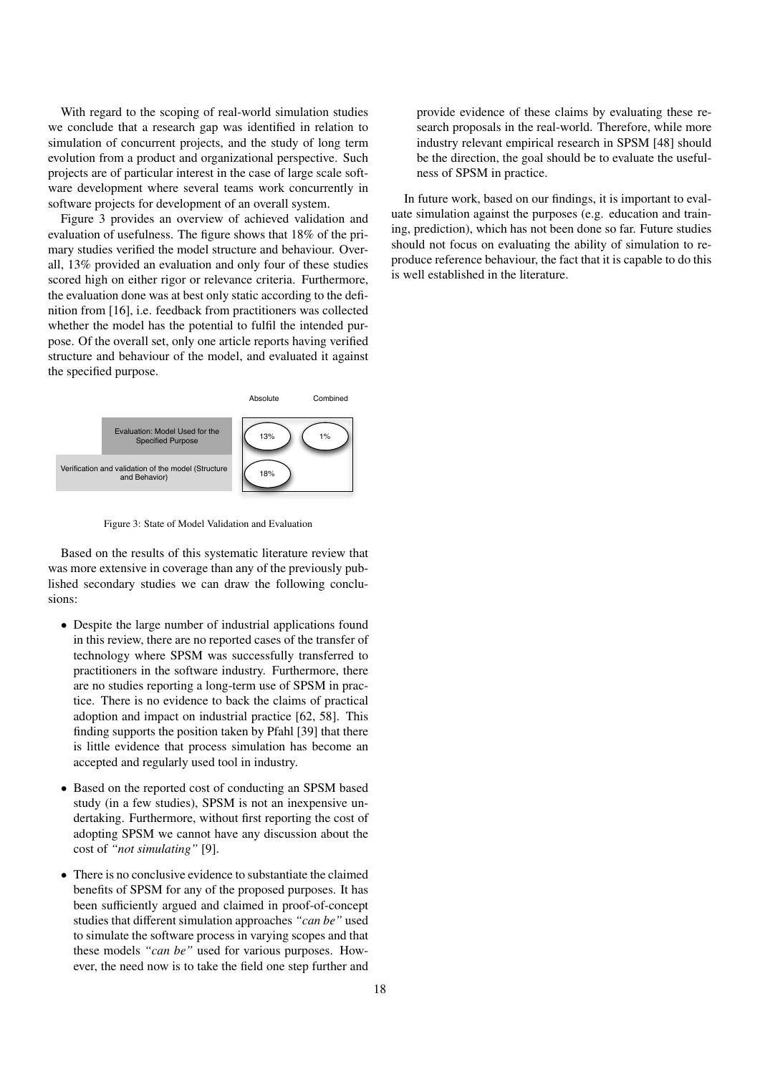With regard to the scoping of real-world simulation studies we conclude that a research gap was identified in relation to simulation of concurrent projects, and the study of long term evolution from a product and organizational perspective. Such projects are of particular interest in the case of large scale software development where several teams work concurrently in software projects for development of an overall system.

Figure 3 provides an overview of achieved validation and evaluation of usefulness. The figure shows that 18% of the primary studies verified the model structure and behaviour. Overall, 13% provided an evaluation and only four of these studies scored high on either rigor or relevance criteria. Furthermore, the evaluation done was at best only static according to the definition from [16], i.e. feedback from practitioners was collected whether the model has the potential to fulfil the intended purpose. Of the overall set, only one article reports having verified structure and behaviour of the model, and evaluated it against the specified purpose.



Figure 3: State of Model Validation and Evaluation

Based on the results of this systematic literature review that was more extensive in coverage than any of the previously published secondary studies we can draw the following conclusions:

- Despite the large number of industrial applications found in this review, there are no reported cases of the transfer of technology where SPSM was successfully transferred to practitioners in the software industry. Furthermore, there are no studies reporting a long-term use of SPSM in practice. There is no evidence to back the claims of practical adoption and impact on industrial practice [62, 58]. This finding supports the position taken by Pfahl [39] that there is little evidence that process simulation has become an accepted and regularly used tool in industry.
- Based on the reported cost of conducting an SPSM based study (in a few studies), SPSM is not an inexpensive undertaking. Furthermore, without first reporting the cost of adopting SPSM we cannot have any discussion about the cost of *"not simulating"* [9].
- There is no conclusive evidence to substantiate the claimed benefits of SPSM for any of the proposed purposes. It has been sufficiently argued and claimed in proof-of-concept studies that different simulation approaches *"can be"* used to simulate the software process in varying scopes and that these models *"can be"* used for various purposes. However, the need now is to take the field one step further and

provide evidence of these claims by evaluating these research proposals in the real-world. Therefore, while more industry relevant empirical research in SPSM [48] should be the direction, the goal should be to evaluate the usefulness of SPSM in practice.

In future work, based on our findings, it is important to evaluate simulation against the purposes (e.g. education and training, prediction), which has not been done so far. Future studies should not focus on evaluating the ability of simulation to reproduce reference behaviour, the fact that it is capable to do this is well established in the literature.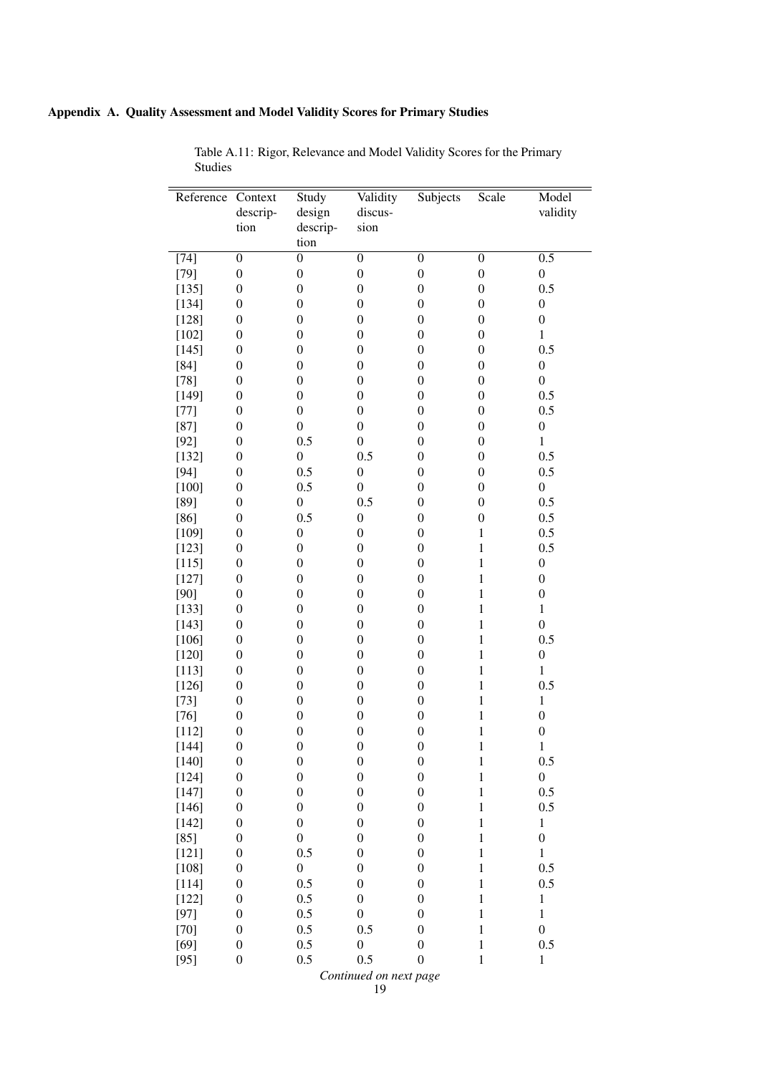# Appendix A. Quality Assessment and Model Validity Scores for Primary Studies

| Reference    | Context<br>descrip-<br>tion | Study<br>design<br>descrip-<br>tion | Validity<br>discus-<br>sion | Subjects         | Scale            | Model<br>validity |
|--------------|-----------------------------|-------------------------------------|-----------------------------|------------------|------------------|-------------------|
| $\boxed{74}$ | $\overline{0}$              | $\overline{0}$                      | $\overline{0}$              | $\overline{0}$   | $\overline{0}$   | 0.5               |
| $[79]$       | $\boldsymbol{0}$            | $\boldsymbol{0}$                    | $\boldsymbol{0}$            | $\boldsymbol{0}$ | $\boldsymbol{0}$ | $\boldsymbol{0}$  |
| [135]        | $\boldsymbol{0}$            | $\boldsymbol{0}$                    | $\boldsymbol{0}$            | $\boldsymbol{0}$ | $\boldsymbol{0}$ | 0.5               |
| [134]        | $\boldsymbol{0}$            | $\boldsymbol{0}$                    | $\boldsymbol{0}$            | $\boldsymbol{0}$ | $\boldsymbol{0}$ | $\boldsymbol{0}$  |
| $[128]$      | $\boldsymbol{0}$            | $\boldsymbol{0}$                    | $\boldsymbol{0}$            | $\boldsymbol{0}$ | $\boldsymbol{0}$ | $\boldsymbol{0}$  |
| $[102]$      | $\boldsymbol{0}$            | $\boldsymbol{0}$                    | $\boldsymbol{0}$            | $\boldsymbol{0}$ | $\boldsymbol{0}$ | $\mathbf{1}$      |
| [145]        | $\boldsymbol{0}$            | $\boldsymbol{0}$                    | $\boldsymbol{0}$            | $\boldsymbol{0}$ | $\boldsymbol{0}$ | 0.5               |
| [84]         | $\boldsymbol{0}$            | $\boldsymbol{0}$                    | $\boldsymbol{0}$            | $\boldsymbol{0}$ | $\boldsymbol{0}$ | $\boldsymbol{0}$  |
| $[78]$       | $\boldsymbol{0}$            | $\boldsymbol{0}$                    | $\boldsymbol{0}$            | $\boldsymbol{0}$ | $\boldsymbol{0}$ | $\boldsymbol{0}$  |
| $[149]$      | $\boldsymbol{0}$            | $\boldsymbol{0}$                    | $\boldsymbol{0}$            | $\boldsymbol{0}$ | $\boldsymbol{0}$ | 0.5               |
| $[77]$       | $\boldsymbol{0}$            | $\boldsymbol{0}$                    | $\boldsymbol{0}$            | $\boldsymbol{0}$ | $\boldsymbol{0}$ | 0.5               |
| $[87]$       | $\boldsymbol{0}$            | $\boldsymbol{0}$                    | $\boldsymbol{0}$            | $\boldsymbol{0}$ | $\boldsymbol{0}$ | $\boldsymbol{0}$  |
| $[92]$       | $\boldsymbol{0}$            | 0.5                                 | $\boldsymbol{0}$            | $\boldsymbol{0}$ | $\boldsymbol{0}$ | $\mathbf 1$       |
| $[132]$      | $\boldsymbol{0}$            | $\boldsymbol{0}$                    | 0.5                         | $\boldsymbol{0}$ | $\boldsymbol{0}$ | 0.5               |
| $[94]$       | $\boldsymbol{0}$            | 0.5                                 | $\boldsymbol{0}$            | $\boldsymbol{0}$ | $\boldsymbol{0}$ | 0.5               |
| $[100]$      | $\boldsymbol{0}$            | 0.5                                 | $\boldsymbol{0}$            | $\boldsymbol{0}$ | $\boldsymbol{0}$ | $\boldsymbol{0}$  |
| $[89]$       | $\boldsymbol{0}$            | $\boldsymbol{0}$                    | 0.5                         | $\boldsymbol{0}$ | $\boldsymbol{0}$ | 0.5               |
| $[86]$       | $\boldsymbol{0}$            | 0.5                                 | $\boldsymbol{0}$            | $\boldsymbol{0}$ | $\boldsymbol{0}$ | 0.5               |
| [109]        | $\boldsymbol{0}$            | $\boldsymbol{0}$                    | $\boldsymbol{0}$            | $\boldsymbol{0}$ | $\mathbf{1}$     | 0.5               |
| [123]        | $\boldsymbol{0}$            | $\boldsymbol{0}$                    | $\boldsymbol{0}$            | $\boldsymbol{0}$ | $\mathbf{1}$     | 0.5               |
| [115]        | $\boldsymbol{0}$            | $\boldsymbol{0}$                    | $\boldsymbol{0}$            | $\boldsymbol{0}$ | $\mathbf{1}$     | $\boldsymbol{0}$  |
| [127]        | $\boldsymbol{0}$            | $\boldsymbol{0}$                    | $\boldsymbol{0}$            | $\boldsymbol{0}$ | $\mathbf{1}$     | $\boldsymbol{0}$  |
| $[90]$       | $\boldsymbol{0}$            | $\boldsymbol{0}$                    | $\boldsymbol{0}$            | $\boldsymbol{0}$ | $\mathbf{1}$     | $\boldsymbol{0}$  |
| [133]        | $\boldsymbol{0}$            | $\boldsymbol{0}$                    | $\boldsymbol{0}$            | $\boldsymbol{0}$ | $\mathbf{1}$     | $\mathbf{1}$      |
| [143]        | $\boldsymbol{0}$            | $\boldsymbol{0}$                    | $\boldsymbol{0}$            | $\boldsymbol{0}$ | $\mathbf{1}$     | $\boldsymbol{0}$  |
| [106]        | $\boldsymbol{0}$            | $\boldsymbol{0}$                    | $\boldsymbol{0}$            | $\boldsymbol{0}$ | $\mathbf{1}$     | 0.5               |
| $[120]$      | $\boldsymbol{0}$            | $\boldsymbol{0}$                    | $\boldsymbol{0}$            | $\boldsymbol{0}$ | $\mathbf{1}$     | $\boldsymbol{0}$  |
| [113]        | $\boldsymbol{0}$            | $\boldsymbol{0}$                    | $\boldsymbol{0}$            | $\boldsymbol{0}$ | $\mathbf{1}$     | $\mathbf{1}$      |
| $[126]$      | $\boldsymbol{0}$            | $\boldsymbol{0}$                    | $\boldsymbol{0}$            | $\boldsymbol{0}$ | $\mathbf{1}$     | 0.5               |
| $[73]$       | $\boldsymbol{0}$            | $\boldsymbol{0}$                    | $\boldsymbol{0}$            | $\boldsymbol{0}$ | $\mathbf{1}$     | $\mathbf{1}$      |
| $[76]$       | $\boldsymbol{0}$            | $\boldsymbol{0}$                    | $\boldsymbol{0}$            | $\boldsymbol{0}$ | $\mathbf{1}$     | $\boldsymbol{0}$  |
| $[112]$      | $\boldsymbol{0}$            | $\boldsymbol{0}$                    | $\boldsymbol{0}$            | $\boldsymbol{0}$ | $\mathbf{1}$     | $\boldsymbol{0}$  |
| [144]        | $\overline{0}$              | $\boldsymbol{0}$                    | $\boldsymbol{0}$            | $\boldsymbol{0}$ | 1                | $\mathbf{1}$      |
| $[140]$      | $\boldsymbol{0}$            | $\boldsymbol{0}$                    | $\boldsymbol{0}$            | $\boldsymbol{0}$ | $\,1$            | 0.5               |
| $[124]$      | $\boldsymbol{0}$            | $\boldsymbol{0}$                    | $\boldsymbol{0}$            | $\boldsymbol{0}$ | $\mathbf 1$      | $\boldsymbol{0}$  |
| $[147]$      | $\boldsymbol{0}$            | $\boldsymbol{0}$                    | $\boldsymbol{0}$            | $\boldsymbol{0}$ | $\mathbf 1$      | 0.5               |
| [146]        | $\boldsymbol{0}$            | $\boldsymbol{0}$                    | $\boldsymbol{0}$            | $\boldsymbol{0}$ | $\mathbf 1$      | 0.5               |
| $[142]$      | $\boldsymbol{0}$            | $\boldsymbol{0}$                    | $\boldsymbol{0}$            | $\boldsymbol{0}$ | $\mathbf 1$      | $\mathbf 1$       |
| $[85]$       | $\boldsymbol{0}$            | $\boldsymbol{0}$                    | $\boldsymbol{0}$            | $\boldsymbol{0}$ | $\mathbf 1$      | $\boldsymbol{0}$  |
| $[121]$      | $\boldsymbol{0}$            | 0.5                                 | $\boldsymbol{0}$            | $\boldsymbol{0}$ | $\mathbf 1$      | $\mathbf{1}$      |
| $[108]$      | $\boldsymbol{0}$            | $\boldsymbol{0}$                    | $\boldsymbol{0}$            | $\boldsymbol{0}$ | $\mathbf 1$      | 0.5               |
| $[114]$      | $\boldsymbol{0}$            | 0.5                                 | $\boldsymbol{0}$            | $\boldsymbol{0}$ | $\mathbf 1$      | 0.5               |
| $[122]$      | $\boldsymbol{0}$            | 0.5                                 | $\boldsymbol{0}$            | $\boldsymbol{0}$ | $\mathbf 1$      | $\mathbf 1$       |
| $[97]$       | $\boldsymbol{0}$            | 0.5                                 | $\boldsymbol{0}$            | $\boldsymbol{0}$ | $\mathbf 1$      | $\mathbf 1$       |
| $[70]$       | $\boldsymbol{0}$            | 0.5                                 | 0.5                         | $\boldsymbol{0}$ | $\,1$            | $\boldsymbol{0}$  |
| $[69]$       | $\boldsymbol{0}$            | 0.5                                 | $\boldsymbol{0}$            | $\boldsymbol{0}$ | $\,1$            | $0.5\,$           |
| $[95]$       | $\boldsymbol{0}$            | 0.5                                 | 0.5                         | $\boldsymbol{0}$ | $\mathbf{1}$     | $\,1$             |

Table A.11: Rigor, Relevance and Model Validity Scores for the Primary Studies

*Continued on next page*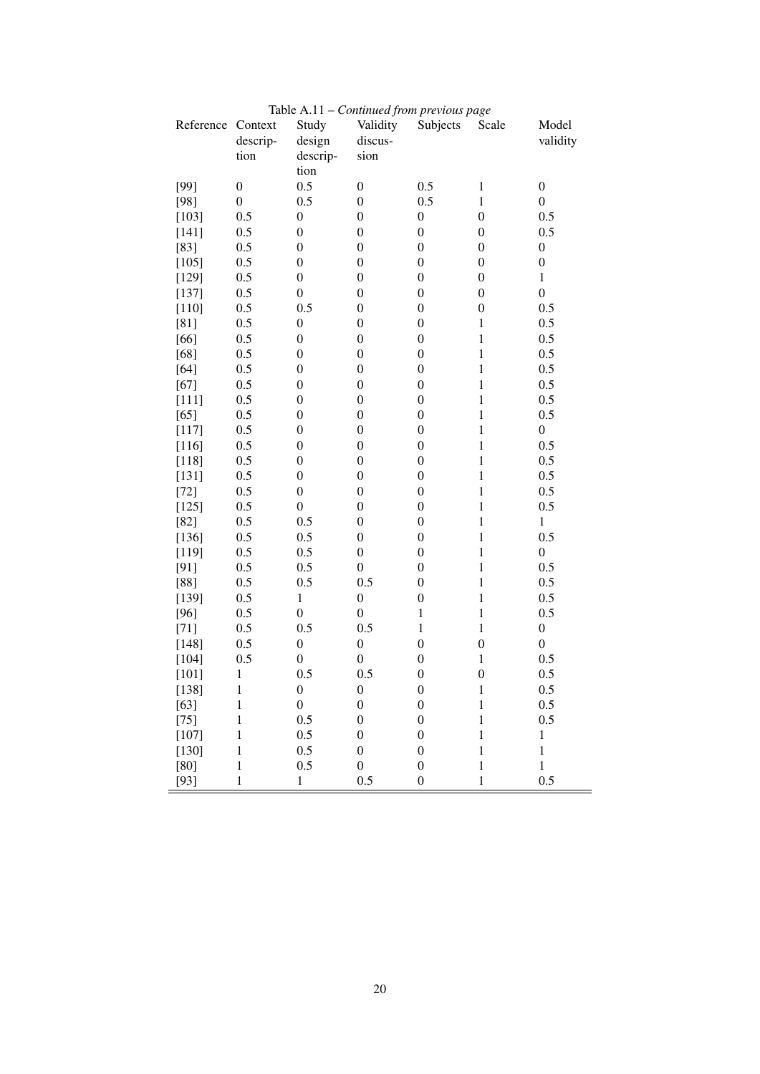| Reference | Context<br>descrip-<br>tion | Study<br>design<br>descrip- | Validity<br>discus-<br>sion | Subjects         | Scale                                                     | Model<br>validity |
|-----------|-----------------------------|-----------------------------|-----------------------------|------------------|-----------------------------------------------------------|-------------------|
|           |                             | tion                        |                             |                  |                                                           |                   |
| $[99]$    | $\boldsymbol{0}$            | 0.5                         | $\boldsymbol{0}$            | 0.5              | 1                                                         | $\boldsymbol{0}$  |
| $[98]$    | $\boldsymbol{0}$            | 0.5                         | $\boldsymbol{0}$            | 0.5              | $\mathbf{1}$                                              | $\boldsymbol{0}$  |
| [103]     | 0.5                         | $\boldsymbol{0}$            | $\boldsymbol{0}$            | $\boldsymbol{0}$ | $\boldsymbol{0}$                                          | 0.5               |
| $[141]$   | 0.5                         | $\boldsymbol{0}$            | $\boldsymbol{0}$            | $\boldsymbol{0}$ | $\boldsymbol{0}$                                          | 0.5               |
| $[83]$    | 0.5                         | $\boldsymbol{0}$            | $\boldsymbol{0}$            | $\boldsymbol{0}$ | $\boldsymbol{0}$                                          | $\boldsymbol{0}$  |
| [105]     | 0.5                         | $\boldsymbol{0}$            | $\boldsymbol{0}$            | $\boldsymbol{0}$ | $\boldsymbol{0}$                                          | $\boldsymbol{0}$  |
| [129]     | 0.5                         | $\boldsymbol{0}$            | $\boldsymbol{0}$            | $\boldsymbol{0}$ | $\boldsymbol{0}$                                          | $\mathbf{1}$      |
| [137]     | 0.5                         | $\boldsymbol{0}$            | $\boldsymbol{0}$            | $\boldsymbol{0}$ | $\boldsymbol{0}$                                          | $\boldsymbol{0}$  |
| $[110]$   | 0.5                         | 0.5                         | $\boldsymbol{0}$            | $\boldsymbol{0}$ | $\boldsymbol{0}$                                          | 0.5               |
| [81]      | 0.5                         | $\boldsymbol{0}$            | $\boldsymbol{0}$            | $\boldsymbol{0}$ | $\mathbf{1}$                                              | 0.5               |
| [66]      | 0.5                         | $\boldsymbol{0}$            | $\boldsymbol{0}$            | $\boldsymbol{0}$ | $\mathbf{1}$                                              | 0.5               |
| $[68]$    | 0.5                         | $\boldsymbol{0}$            | $\boldsymbol{0}$            | $\boldsymbol{0}$ | $\mathbf{1}$                                              | 0.5               |
| $[64]$    | 0.5                         | $\boldsymbol{0}$            | $\boldsymbol{0}$            | $\boldsymbol{0}$ | $\mathbf{1}$                                              | 0.5               |
| $[67]$    | 0.5                         | $\boldsymbol{0}$            | $\boldsymbol{0}$            | $\boldsymbol{0}$ | $\mathbf{1}$                                              | 0.5               |
| $[111]$   | 0.5                         | $\boldsymbol{0}$            | $\boldsymbol{0}$            | $\boldsymbol{0}$ | $\mathbf{1}$                                              | 0.5               |
| $[65]$    | 0.5                         | $\boldsymbol{0}$            | $\boldsymbol{0}$            | $\boldsymbol{0}$ | $\mathbf{1}$                                              | 0.5               |
| [117]     | 0.5                         | $\boldsymbol{0}$            | $\boldsymbol{0}$            | $\boldsymbol{0}$ | $\mathbf{1}$                                              | $\boldsymbol{0}$  |
| [116]     | 0.5                         | $\boldsymbol{0}$            | $\boldsymbol{0}$            | $\boldsymbol{0}$ | $\mathbf{1}$                                              | 0.5               |
| [118]     | 0.5                         | $\boldsymbol{0}$            | $\boldsymbol{0}$            | $\boldsymbol{0}$ | $\mathbf{1}$                                              | 0.5               |
| [131]     | 0.5                         | $\boldsymbol{0}$            | $\boldsymbol{0}$            | $\boldsymbol{0}$ | $\mathbf{1}$                                              | 0.5               |
| $[72]$    | 0.5                         | $\boldsymbol{0}$            | $\boldsymbol{0}$            | $\boldsymbol{0}$ | $\mathbf{1}$                                              | 0.5               |
| $[125]$   | 0.5                         | $\boldsymbol{0}$            | $\boldsymbol{0}$            | $\boldsymbol{0}$ | $\mathbf{1}$                                              | 0.5               |
| $[82]$    | 0.5                         | 0.5                         | $\boldsymbol{0}$            | $\boldsymbol{0}$ | $\mathbf{1}$                                              | $\mathbf{1}$      |
| [136]     | 0.5                         | 0.5                         | $\boldsymbol{0}$            | $\boldsymbol{0}$ | $\mathbf{1}$                                              | 0.5               |
| $[119]$   | 0.5                         | 0.5                         | $\boldsymbol{0}$            | $\boldsymbol{0}$ | $\mathbf{1}$                                              | $\boldsymbol{0}$  |
| [91]      | 0.5                         | 0.5                         | $\boldsymbol{0}$            | $\boldsymbol{0}$ | $\mathbf{1}$                                              | 0.5               |
| $[88]$    | 0.5                         | 0.5                         | 0.5                         | $\boldsymbol{0}$ | $\mathbf{1}$                                              | 0.5               |
| [139]     | 0.5                         | $\mathbf{1}$                | $\boldsymbol{0}$            | $\boldsymbol{0}$ | $\mathbf{1}$                                              | 0.5               |
| $[96]$    | 0.5                         | $\boldsymbol{0}$            | $\boldsymbol{0}$            | $\mathbf{1}$     | 1                                                         | 0.5               |
| $[71]$    | 0.5                         | 0.5                         | 0.5                         | $\mathbf{1}$     | $\mathbf{1}$                                              | $\boldsymbol{0}$  |
| $[148]$   | 0.5                         | $\boldsymbol{0}$            | $\boldsymbol{0}$            | $\boldsymbol{0}$ | $\boldsymbol{0}$                                          | $\boldsymbol{0}$  |
| $[104]$   | 0.5                         | $\boldsymbol{0}$            | $\boldsymbol{0}$            | $\boldsymbol{0}$ | $\mathbf{1}$                                              | 0.5               |
| $[101]$   | $\mathbf{1}$                | 0.5                         | 0.5                         | $\boldsymbol{0}$ | $\boldsymbol{0}$                                          | 0.5               |
| $[138]$   | $\mathbf{1}$                | $\boldsymbol{0}$            | $\boldsymbol{0}$            | $\boldsymbol{0}$ | $\mathbf{1}$                                              | 0.5               |
| $[63]$    | $\mathbf{1}$                | $\boldsymbol{0}$            | $\overline{0}$              | $\boldsymbol{0}$ | $\mathbf{1}$                                              | 0.5               |
| $[75]$    | $\mathbf{1}$                | 0.5                         | $\overline{0}$              | $\boldsymbol{0}$ | $\mathbf{1}$                                              | 0.5               |
| $[107]$   | $\mathbf{1}$                | 0.5                         | $\boldsymbol{0}$            | $\boldsymbol{0}$ | $\mathbf{1}$                                              | $\,1$             |
| $[130]$   | $\mathbf{1}$                | 0.5                         | $\boldsymbol{0}$            | $\boldsymbol{0}$ | $\mathbf{1}$                                              | $\mathbf{1}$      |
| $[80]$    | $\mathbf{1}$                | 0.5                         | $\boldsymbol{0}$            | $\boldsymbol{0}$ | $\mathbf 1$                                               | $\mathbf{1}$      |
| $[93]$    | $\mathbf{1}$                | $\,1$                       | 0.5                         | $\boldsymbol{0}$ | $\mathbf{1}% _{T}=\mathbf{1}_{T}\left  \mathbf{1}\right $ | 0.5               |

Table A.11 – *Continued from previous page*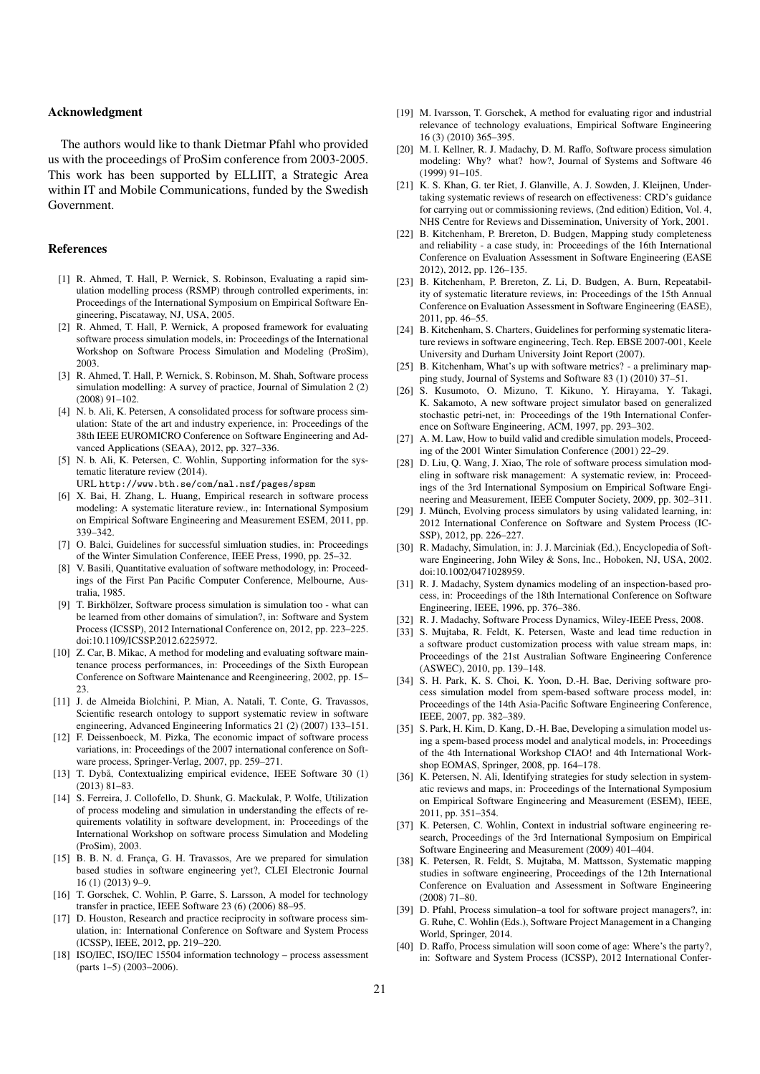#### Acknowledgment

The authors would like to thank Dietmar Pfahl who provided us with the proceedings of ProSim conference from 2003-2005. This work has been supported by ELLIIT, a Strategic Area within IT and Mobile Communications, funded by the Swedish Government.

#### References

- [1] R. Ahmed, T. Hall, P. Wernick, S. Robinson, Evaluating a rapid simulation modelling process (RSMP) through controlled experiments, in: Proceedings of the International Symposium on Empirical Software Engineering, Piscataway, NJ, USA, 2005.
- [2] R. Ahmed, T. Hall, P. Wernick, A proposed framework for evaluating software process simulation models, in: Proceedings of the International Workshop on Software Process Simulation and Modeling (ProSim), 2003.
- [3] R. Ahmed, T. Hall, P. Wernick, S. Robinson, M. Shah, Software process simulation modelling: A survey of practice, Journal of Simulation 2 (2) (2008) 91–102.
- [4] N. b. Ali, K. Petersen, A consolidated process for software process simulation: State of the art and industry experience, in: Proceedings of the 38th IEEE EUROMICRO Conference on Software Engineering and Advanced Applications (SEAA), 2012, pp. 327–336.
- [5] N. b. Ali, K. Petersen, C. Wohlin, Supporting information for the systematic literature review (2014).
- URL http://www.bth.se/com/nal.nsf/pages/spsm [6] X. Bai, H. Zhang, L. Huang, Empirical research in software process modeling: A systematic literature review., in: International Symposium on Empirical Software Engineering and Measurement ESEM, 2011, pp. 339–342.
- [7] O. Balci, Guidelines for successful simluation studies, in: Proceedings of the Winter Simulation Conference, IEEE Press, 1990, pp. 25–32.
- [8] V. Basili, Quantitative evaluation of software methodology, in: Proceedings of the First Pan Pacific Computer Conference, Melbourne, Australia, 1985.
- [9] T. Birkhölzer, Software process simulation is simulation too what can be learned from other domains of simulation?, in: Software and System Process (ICSSP), 2012 International Conference on, 2012, pp. 223–225. doi:10.1109/ICSSP.2012.6225972.
- [10] Z. Car, B. Mikac, A method for modeling and evaluating software maintenance process performances, in: Proceedings of the Sixth European Conference on Software Maintenance and Reengineering, 2002, pp. 15–  $23.$
- [11] J. de Almeida Biolchini, P. Mian, A. Natali, T. Conte, G. Travassos, Scientific research ontology to support systematic review in software engineering, Advanced Engineering Informatics 21 (2) (2007) 133–151.
- [12] F. Deissenboeck, M. Pizka, The economic impact of software process variations, in: Proceedings of the 2007 international conference on Software process, Springer-Verlag, 2007, pp. 259–271.
- [13] T. Dybå, Contextualizing empirical evidence, IEEE Software 30 (1) (2013) 81–83.
- [14] S. Ferreira, J. Collofello, D. Shunk, G. Mackulak, P. Wolfe, Utilization of process modeling and simulation in understanding the effects of requirements volatility in software development, in: Proceedings of the International Workshop on software process Simulation and Modeling (ProSim), 2003.
- [15] B. B. N. d. França, G. H. Travassos, Are we prepared for simulation based studies in software engineering yet?, CLEI Electronic Journal 16 (1) (2013) 9–9.
- [16] T. Gorschek, C. Wohlin, P. Garre, S. Larsson, A model for technology transfer in practice, IEEE Software 23 (6) (2006) 88–95.
- [17] D. Houston, Research and practice reciprocity in software process simulation, in: International Conference on Software and System Process (ICSSP), IEEE, 2012, pp. 219–220.
- [18] ISO/IEC, ISO/IEC 15504 information technology process assessment (parts 1–5) (2003–2006).
- [19] M. Ivarsson, T. Gorschek, A method for evaluating rigor and industrial relevance of technology evaluations, Empirical Software Engineering 16 (3) (2010) 365–395.
- [20] M. I. Kellner, R. J. Madachy, D. M. Raffo, Software process simulation modeling: Why? what? how?, Journal of Systems and Software 46 (1999) 91–105.
- [21] K. S. Khan, G. ter Riet, J. Glanville, A. J. Sowden, J. Kleijnen, Undertaking systematic reviews of research on effectiveness: CRD's guidance for carrying out or commissioning reviews, (2nd edition) Edition, Vol. 4, NHS Centre for Reviews and Dissemination, University of York, 2001.
- [22] B. Kitchenham, P. Brereton, D. Budgen, Mapping study completeness and reliability - a case study, in: Proceedings of the 16th International Conference on Evaluation Assessment in Software Engineering (EASE 2012), 2012, pp. 126–135.
- [23] B. Kitchenham, P. Brereton, Z. Li, D. Budgen, A. Burn, Repeatability of systematic literature reviews, in: Proceedings of the 15th Annual Conference on Evaluation Assessment in Software Engineering (EASE), 2011, pp. 46–55.
- [24] B. Kitchenham, S. Charters, Guidelines for performing systematic literature reviews in software engineering, Tech. Rep. EBSE 2007-001, Keele University and Durham University Joint Report (2007).
- [25] B. Kitchenham, What's up with software metrics? a preliminary mapping study, Journal of Systems and Software 83 (1) (2010) 37–51.
- [26] S. Kusumoto, O. Mizuno, T. Kikuno, Y. Hirayama, Y. Takagi, K. Sakamoto, A new software project simulator based on generalized stochastic petri-net, in: Proceedings of the 19th International Conference on Software Engineering, ACM, 1997, pp. 293–302.
- [27] A. M. Law, How to build valid and credible simulation models, Proceeding of the 2001 Winter Simulation Conference (2001) 22–29.
- [28] D. Liu, Q. Wang, J. Xiao, The role of software process simulation modeling in software risk management: A systematic review, in: Proceedings of the 3rd International Symposium on Empirical Software Engineering and Measurement, IEEE Computer Society, 2009, pp. 302–311.
- [29] J. Münch, Evolving process simulators by using validated learning, in: 2012 International Conference on Software and System Process (IC-SSP), 2012, pp. 226–227.
- [30] R. Madachy, Simulation, in: J. J. Marciniak (Ed.), Encyclopedia of Software Engineering, John Wiley & Sons, Inc., Hoboken, NJ, USA, 2002. doi:10.1002/0471028959.
- [31] R. J. Madachy, System dynamics modeling of an inspection-based process, in: Proceedings of the 18th International Conference on Software Engineering, IEEE, 1996, pp. 376–386.
- [32] R. J. Madachy, Software Process Dynamics, Wiley-IEEE Press, 2008.
- [33] S. Mujtaba, R. Feldt, K. Petersen, Waste and lead time reduction in a software product customization process with value stream maps, in: Proceedings of the 21st Australian Software Engineering Conference (ASWEC), 2010, pp. 139–148.
- [34] S. H. Park, K. S. Choi, K. Yoon, D.-H. Bae, Deriving software process simulation model from spem-based software process model, in: Proceedings of the 14th Asia-Pacific Software Engineering Conference, IEEE, 2007, pp. 382–389.
- [35] S. Park, H. Kim, D. Kang, D.-H. Bae, Developing a simulation model using a spem-based process model and analytical models, in: Proceedings of the 4th International Workshop CIAO! and 4th International Workshop EOMAS, Springer, 2008, pp. 164–178.
- [36] K. Petersen, N. Ali, Identifying strategies for study selection in systematic reviews and maps, in: Proceedings of the International Symposium on Empirical Software Engineering and Measurement (ESEM), IEEE, 2011, pp. 351–354.
- [37] K. Petersen, C. Wohlin, Context in industrial software engineering research, Proceedings of the 3rd International Symposium on Empirical Software Engineering and Measurement (2009) 401–404.
- [38] K. Petersen, R. Feldt, S. Mujtaba, M. Mattsson, Systematic mapping studies in software engineering, Proceedings of the 12th International Conference on Evaluation and Assessment in Software Engineering (2008) 71–80.
- [39] D. Pfahl, Process simulation–a tool for software project managers?, in: G. Ruhe, C. Wohlin (Eds.), Software Project Management in a Changing World, Springer, 2014.
- [40] D. Raffo, Process simulation will soon come of age: Where's the party?, in: Software and System Process (ICSSP), 2012 International Confer-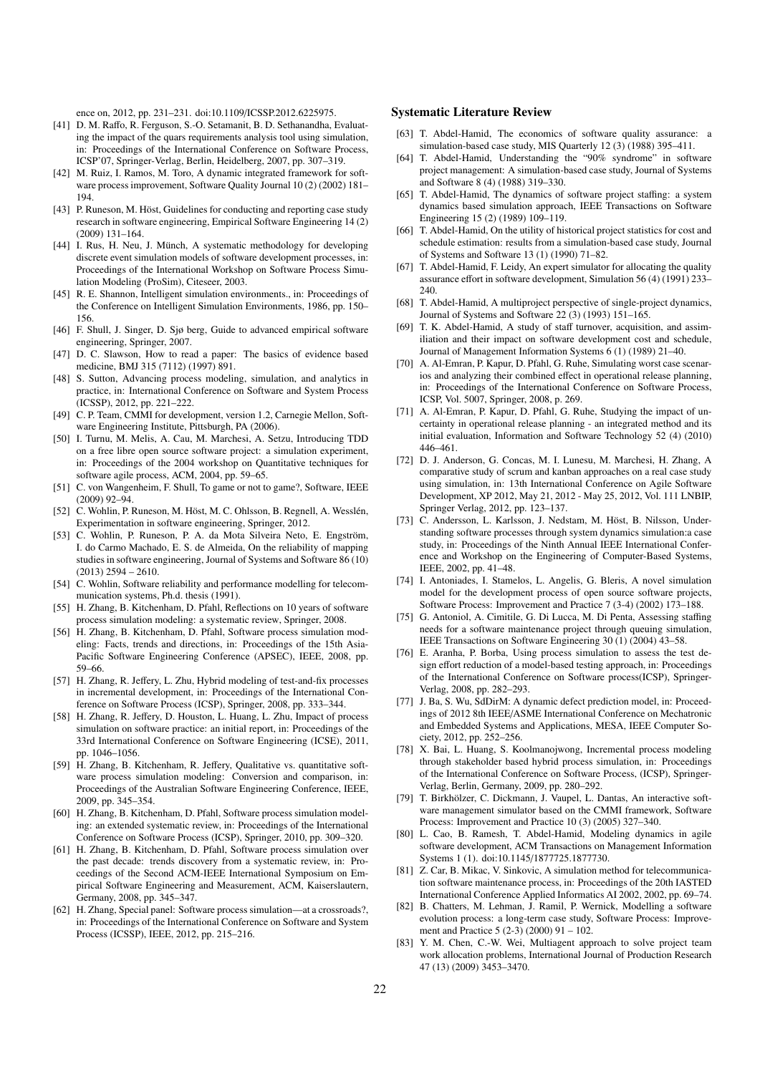ence on, 2012, pp. 231–231. doi:10.1109/ICSSP.2012.6225975.

- [41] D. M. Raffo, R. Ferguson, S.-O. Setamanit, B. D. Sethanandha, Evaluating the impact of the quars requirements analysis tool using simulation, in: Proceedings of the International Conference on Software Process, ICSP'07, Springer-Verlag, Berlin, Heidelberg, 2007, pp. 307–319.
- [42] M. Ruiz, I. Ramos, M. Toro, A dynamic integrated framework for software process improvement, Software Quality Journal 10 (2) (2002) 181– 194.
- [43] P. Runeson, M. Höst, Guidelines for conducting and reporting case study research in software engineering, Empirical Software Engineering 14 (2) (2009) 131–164.
- [44] I. Rus, H. Neu, J. Münch, A systematic methodology for developing discrete event simulation models of software development processes, in: Proceedings of the International Workshop on Software Process Simulation Modeling (ProSim), Citeseer, 2003.
- [45] R. E. Shannon, Intelligent simulation environments., in: Proceedings of the Conference on Intelligent Simulation Environments, 1986, pp. 150– 156.
- [46] F. Shull, J. Singer, D. Sjø berg, Guide to advanced empirical software engineering, Springer, 2007.
- [47] D. C. Slawson, How to read a paper: The basics of evidence based medicine, BMJ 315 (7112) (1997) 891.
- [48] S. Sutton, Advancing process modeling, simulation, and analytics in practice, in: International Conference on Software and System Process (ICSSP), 2012, pp. 221–222.
- [49] C. P. Team, CMMI for development, version 1.2, Carnegie Mellon, Software Engineering Institute, Pittsburgh, PA (2006).
- [50] I. Turnu, M. Melis, A. Cau, M. Marchesi, A. Setzu, Introducing TDD on a free libre open source software project: a simulation experiment, in: Proceedings of the 2004 workshop on Quantitative techniques for software agile process, ACM, 2004, pp. 59–65.
- [51] C. von Wangenheim, F. Shull, To game or not to game?, Software, IEEE (2009) 92–94.
- [52] C. Wohlin, P. Runeson, M. Höst, M. C. Ohlsson, B. Regnell, A. Wesslén, Experimentation in software engineering, Springer, 2012.
- [53] C. Wohlin, P. Runeson, P. A. da Mota Silveira Neto, E. Engström, I. do Carmo Machado, E. S. de Almeida, On the reliability of mapping studies in software engineering, Journal of Systems and Software 86 (10)  $(2013)$  2594 – 2610.
- [54] C. Wohlin, Software reliability and performance modelling for telecommunication systems, Ph.d. thesis (1991).
- [55] H. Zhang, B. Kitchenham, D. Pfahl, Reflections on 10 years of software process simulation modeling: a systematic review, Springer, 2008.
- [56] H. Zhang, B. Kitchenham, D. Pfahl, Software process simulation modeling: Facts, trends and directions, in: Proceedings of the 15th Asia-Pacific Software Engineering Conference (APSEC), IEEE, 2008, pp. 59–66.
- [57] H. Zhang, R. Jeffery, L. Zhu, Hybrid modeling of test-and-fix processes in incremental development, in: Proceedings of the International Conference on Software Process (ICSP), Springer, 2008, pp. 333–344.
- [58] H. Zhang, R. Jeffery, D. Houston, L. Huang, L. Zhu, Impact of process simulation on software practice: an initial report, in: Proceedings of the 33rd International Conference on Software Engineering (ICSE), 2011, pp. 1046–1056.
- [59] H. Zhang, B. Kitchenham, R. Jeffery, Qualitative vs. quantitative software process simulation modeling: Conversion and comparison, in: Proceedings of the Australian Software Engineering Conference, IEEE, 2009, pp. 345–354.
- [60] H. Zhang, B. Kitchenham, D. Pfahl, Software process simulation modeling: an extended systematic review, in: Proceedings of the International Conference on Software Process (ICSP), Springer, 2010, pp. 309–320.
- [61] H. Zhang, B. Kitchenham, D. Pfahl, Software process simulation over the past decade: trends discovery from a systematic review, in: Proceedings of the Second ACM-IEEE International Symposium on Empirical Software Engineering and Measurement, ACM, Kaiserslautern, Germany, 2008, pp. 345–347.
- [62] H. Zhang, Special panel: Software process simulation—at a crossroads?, in: Proceedings of the International Conference on Software and System Process (ICSSP), IEEE, 2012, pp. 215–216.

#### Systematic Literature Review

- [63] T. Abdel-Hamid, The economics of software quality assurance: a simulation-based case study, MIS Quarterly 12 (3) (1988) 395–411.
- [64] T. Abdel-Hamid, Understanding the "90% syndrome" in software project management: A simulation-based case study, Journal of Systems and Software 8 (4) (1988) 319–330.
- [65] T. Abdel-Hamid, The dynamics of software project staffing: a system dynamics based simulation approach, IEEE Transactions on Software Engineering 15 (2) (1989) 109–119.
- [66] T. Abdel-Hamid, On the utility of historical project statistics for cost and schedule estimation: results from a simulation-based case study, Journal of Systems and Software 13 (1) (1990) 71–82.
- [67] T. Abdel-Hamid, F. Leidy, An expert simulator for allocating the quality assurance effort in software development, Simulation 56 (4) (1991) 233– 240.
- [68] T. Abdel-Hamid, A multiproject perspective of single-project dynamics, Journal of Systems and Software 22 (3) (1993) 151–165.
- [69] T. K. Abdel-Hamid, A study of staff turnover, acquisition, and assimiliation and their impact on software development cost and schedule, Journal of Management Information Systems 6 (1) (1989) 21–40.
- [70] A. Al-Emran, P. Kapur, D. Pfahl, G. Ruhe, Simulating worst case scenarios and analyzing their combined effect in operational release planning, in: Proceedings of the International Conference on Software Process, ICSP, Vol. 5007, Springer, 2008, p. 269.
- [71] A. Al-Emran, P. Kapur, D. Pfahl, G. Ruhe, Studying the impact of uncertainty in operational release planning - an integrated method and its initial evaluation, Information and Software Technology 52 (4) (2010) 446–461.
- [72] D. J. Anderson, G. Concas, M. I. Lunesu, M. Marchesi, H. Zhang, A comparative study of scrum and kanban approaches on a real case study using simulation, in: 13th International Conference on Agile Software Development, XP 2012, May 21, 2012 - May 25, 2012, Vol. 111 LNBIP, Springer Verlag, 2012, pp. 123–137.
- [73] C. Andersson, L. Karlsson, J. Nedstam, M. Höst, B. Nilsson, Understanding software processes through system dynamics simulation:a case study, in: Proceedings of the Ninth Annual IEEE International Conference and Workshop on the Engineering of Computer-Based Systems, IEEE, 2002, pp. 41–48.
- [74] I. Antoniades, I. Stamelos, L. Angelis, G. Bleris, A novel simulation model for the development process of open source software projects, Software Process: Improvement and Practice 7 (3-4) (2002) 173–188.
- [75] G. Antoniol, A. Cimitile, G. Di Lucca, M. Di Penta, Assessing staffing needs for a software maintenance project through queuing simulation, IEEE Transactions on Software Engineering 30 (1) (2004) 43–58.
- [76] E. Aranha, P. Borba, Using process simulation to assess the test design effort reduction of a model-based testing approach, in: Proceedings of the International Conference on Software process(ICSP), Springer-Verlag, 2008, pp. 282–293.
- [77] J. Ba, S. Wu, SdDirM: A dynamic defect prediction model, in: Proceedings of 2012 8th IEEE/ASME International Conference on Mechatronic and Embedded Systems and Applications, MESA, IEEE Computer Society, 2012, pp. 252–256.
- [78] X. Bai, L. Huang, S. Koolmanojwong, Incremental process modeling through stakeholder based hybrid process simulation, in: Proceedings of the International Conference on Software Process, (ICSP), Springer-Verlag, Berlin, Germany, 2009, pp. 280–292.
- [79] T. Birkhölzer, C. Dickmann, J. Vaupel, L. Dantas, An interactive software management simulator based on the CMMI framework, Software Process: Improvement and Practice 10 (3) (2005) 327–340.
- [80] L. Cao, B. Ramesh, T. Abdel-Hamid, Modeling dynamics in agile software development, ACM Transactions on Management Information Systems 1 (1). doi:10.1145/1877725.1877730.
- [81] Z. Car, B. Mikac, V. Sinkovic, A simulation method for telecommunication software maintenance process, in: Proceedings of the 20th IASTED International Conference Applied Informatics AI 2002, 2002, pp. 69–74.
- [82] B. Chatters, M. Lehman, J. Ramil, P. Wernick, Modelling a software evolution process: a long-term case study, Software Process: Improvement and Practice 5 (2-3) (2000) 91 – 102.
- [83] Y. M. Chen, C.-W. Wei, Multiagent approach to solve project team work allocation problems, International Journal of Production Research 47 (13) (2009) 3453–3470.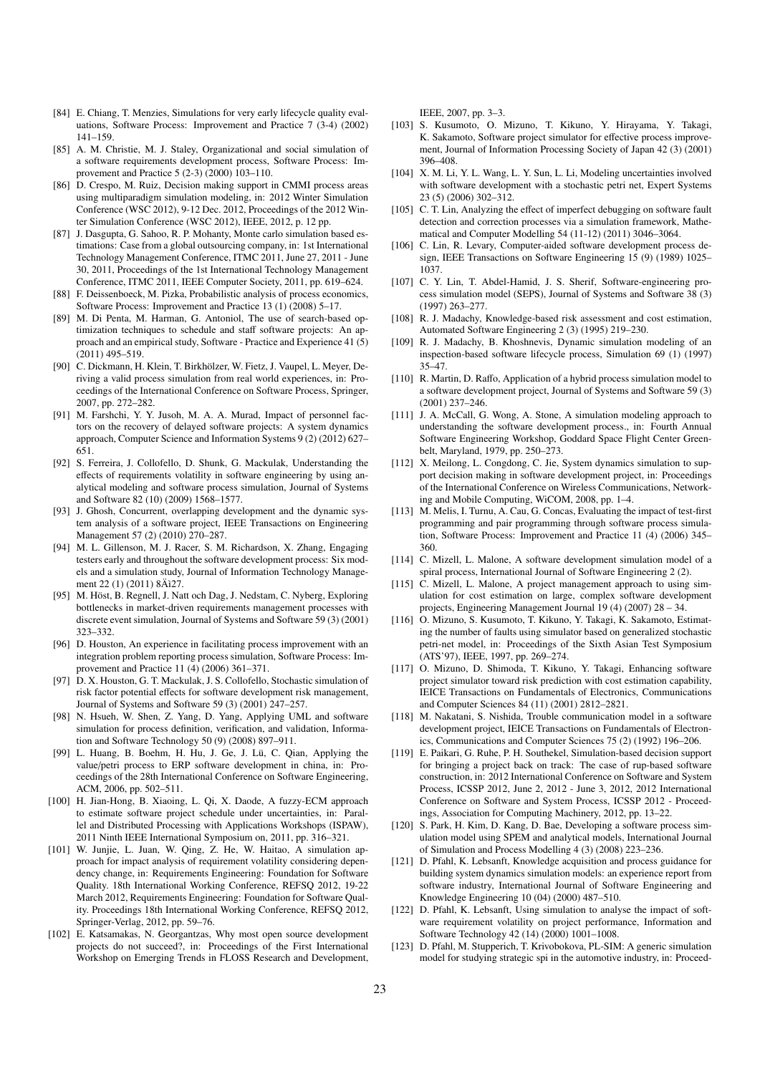- [84] E. Chiang, T. Menzies, Simulations for very early lifecycle quality evaluations, Software Process: Improvement and Practice 7 (3-4) (2002) 141–159.
- [85] A. M. Christie, M. J. Staley, Organizational and social simulation of a software requirements development process, Software Process: Improvement and Practice 5 (2-3) (2000) 103–110.
- [86] D. Crespo, M. Ruiz, Decision making support in CMMI process areas using multiparadigm simulation modeling, in: 2012 Winter Simulation Conference (WSC 2012), 9-12 Dec. 2012, Proceedings of the 2012 Winter Simulation Conference (WSC 2012), IEEE, 2012, p. 12 pp.
- [87] J. Dasgupta, G. Sahoo, R. P. Mohanty, Monte carlo simulation based estimations: Case from a global outsourcing company, in: 1st International Technology Management Conference, ITMC 2011, June 27, 2011 - June 30, 2011, Proceedings of the 1st International Technology Management Conference, ITMC 2011, IEEE Computer Society, 2011, pp. 619–624.
- [88] F. Deissenboeck, M. Pizka, Probabilistic analysis of process economics, Software Process: Improvement and Practice 13 (1) (2008) 5–17.
- [89] M. Di Penta, M. Harman, G. Antoniol, The use of search-based optimization techniques to schedule and staff software projects: An approach and an empirical study, Software - Practice and Experience 41 (5)  $(2011)$  495–519.
- [90] C. Dickmann, H. Klein, T. Birkhölzer, W. Fietz, J. Vaupel, L. Meyer, Deriving a valid process simulation from real world experiences, in: Proceedings of the International Conference on Software Process, Springer, 2007, pp. 272–282.
- [91] M. Farshchi, Y. Y. Jusoh, M. A. A. Murad, Impact of personnel factors on the recovery of delayed software projects: A system dynamics approach, Computer Science and Information Systems 9 (2) (2012) 627– 651.
- [92] S. Ferreira, J. Collofello, D. Shunk, G. Mackulak, Understanding the effects of requirements volatility in software engineering by using analytical modeling and software process simulation, Journal of Systems and Software 82 (10) (2009) 1568–1577.
- [93] J. Ghosh, Concurrent, overlapping development and the dynamic system analysis of a software project, IEEE Transactions on Engineering Management 57 (2) (2010) 270–287.
- [94] M. L. Gillenson, M. J. Racer, S. M. Richardson, X. Zhang, Engaging testers early and throughout the software development process: Six models and a simulation study, Journal of Information Technology Management 22 (1) (2011) 8Äì 27.
- [95] M. Höst, B. Regnell, J. Natt och Dag, J. Nedstam, C. Nyberg, Exploring bottlenecks in market-driven requirements management processes with discrete event simulation, Journal of Systems and Software 59 (3) (2001) 323–332.
- [96] D. Houston, An experience in facilitating process improvement with an integration problem reporting process simulation, Software Process: Improvement and Practice 11 (4) (2006) 361–371.
- [97] D. X. Houston, G. T. Mackulak, J. S. Collofello, Stochastic simulation of risk factor potential effects for software development risk management, Journal of Systems and Software 59 (3) (2001) 247–257.
- [98] N. Hsueh, W. Shen, Z. Yang, D. Yang, Applying UML and software simulation for process definition, verification, and validation, Information and Software Technology 50 (9) (2008) 897–911.
- [99] L. Huang, B. Boehm, H. Hu, J. Ge, J. Lü, C. Qian, Applying the value/petri process to ERP software development in china, in: Proceedings of the 28th International Conference on Software Engineering, ACM, 2006, pp. 502–511.
- [100] H. Jian-Hong, B. Xiaoing, L. Qi, X. Daode, A fuzzy-ECM approach to estimate software project schedule under uncertainties, in: Parallel and Distributed Processing with Applications Workshops (ISPAW), 2011 Ninth IEEE International Symposium on, 2011, pp. 316–321.
- [101] W. Junjie, L. Juan, W. Qing, Z. He, W. Haitao, A simulation approach for impact analysis of requirement volatility considering dependency change, in: Requirements Engineering: Foundation for Software Quality. 18th International Working Conference, REFSQ 2012, 19-22 March 2012, Requirements Engineering: Foundation for Software Quality. Proceedings 18th International Working Conference, REFSQ 2012, Springer-Verlag, 2012, pp. 59–76.
- [102] E. Katsamakas, N. Georgantzas, Why most open source development projects do not succeed?, in: Proceedings of the First International Workshop on Emerging Trends in FLOSS Research and Development,

IEEE, 2007, pp. 3–3.

- [103] S. Kusumoto, O. Mizuno, T. Kikuno, Y. Hirayama, Y. Takagi, K. Sakamoto, Software project simulator for effective process improvement, Journal of Information Processing Society of Japan 42 (3) (2001) 396–408.
- [104] X. M. Li, Y. L. Wang, L. Y. Sun, L. Li, Modeling uncertainties involved with software development with a stochastic petri net, Expert Systems 23 (5) (2006) 302–312.
- [105] C. T. Lin, Analyzing the effect of imperfect debugging on software fault detection and correction processes via a simulation framework, Mathematical and Computer Modelling 54 (11-12) (2011) 3046–3064.
- [106] C. Lin, R. Levary, Computer-aided software development process design, IEEE Transactions on Software Engineering 15 (9) (1989) 1025– 1037.
- [107] C. Y. Lin, T. Abdel-Hamid, J. S. Sherif, Software-engineering process simulation model (SEPS), Journal of Systems and Software 38 (3) (1997) 263–277.
- [108] R. J. Madachy, Knowledge-based risk assessment and cost estimation, Automated Software Engineering 2 (3) (1995) 219–230.
- [109] R. J. Madachy, B. Khoshnevis, Dynamic simulation modeling of an inspection-based software lifecycle process, Simulation 69 (1) (1997) 35–47.
- [110] R. Martin, D. Raffo, Application of a hybrid process simulation model to a software development project, Journal of Systems and Software 59 (3) (2001) 237–246.
- [111] J. A. McCall, G. Wong, A. Stone, A simulation modeling approach to understanding the software development process., in: Fourth Annual Software Engineering Workshop, Goddard Space Flight Center Greenbelt, Maryland, 1979, pp. 250–273.
- [112] X. Meilong, L. Congdong, C. Jie, System dynamics simulation to support decision making in software development project, in: Proceedings of the International Conference on Wireless Communications, Networking and Mobile Computing, WiCOM, 2008, pp. 1–4.
- [113] M. Melis, I. Turnu, A. Cau, G. Concas, Evaluating the impact of test-first programming and pair programming through software process simulation, Software Process: Improvement and Practice 11 (4) (2006) 345– 360.
- [114] C. Mizell, L. Malone, A software development simulation model of a spiral process, International Journal of Software Engineering 2 (2).
- [115] C. Mizell, L. Malone, A project management approach to using simulation for cost estimation on large, complex software development projects, Engineering Management Journal 19 (4) (2007) 28 – 34.
- [116] O. Mizuno, S. Kusumoto, T. Kikuno, Y. Takagi, K. Sakamoto, Estimating the number of faults using simulator based on generalized stochastic petri-net model, in: Proceedings of the Sixth Asian Test Symposium (ATS'97), IEEE, 1997, pp. 269–274.
- [117] O. Mizuno, D. Shimoda, T. Kikuno, Y. Takagi, Enhancing software project simulator toward risk prediction with cost estimation capability, IEICE Transactions on Fundamentals of Electronics, Communications and Computer Sciences 84 (11) (2001) 2812–2821.
- [118] M. Nakatani, S. Nishida, Trouble communication model in a software development project, IEICE Transactions on Fundamentals of Electronics, Communications and Computer Sciences 75 (2) (1992) 196–206.
- [119] E. Paikari, G. Ruhe, P. H. Southekel, Simulation-based decision support for bringing a project back on track: The case of rup-based software construction, in: 2012 International Conference on Software and System Process, ICSSP 2012, June 2, 2012 - June 3, 2012, 2012 International Conference on Software and System Process, ICSSP 2012 - Proceedings, Association for Computing Machinery, 2012, pp. 13–22.
- [120] S. Park, H. Kim, D. Kang, D. Bae, Developing a software process simulation model using SPEM and analytical models, International Journal of Simulation and Process Modelling 4 (3) (2008) 223–236.
- [121] D. Pfahl, K. Lebsanft, Knowledge acquisition and process guidance for building system dynamics simulation models: an experience report from software industry, International Journal of Software Engineering and Knowledge Engineering 10 (04) (2000) 487–510.
- [122] D. Pfahl, K. Lebsanft, Using simulation to analyse the impact of software requirement volatility on project performance, Information and Software Technology 42 (14) (2000) 1001–1008.
- [123] D. Pfahl, M. Stupperich, T. Krivobokova, PL-SIM: A generic simulation model for studying strategic spi in the automotive industry, in: Proceed-